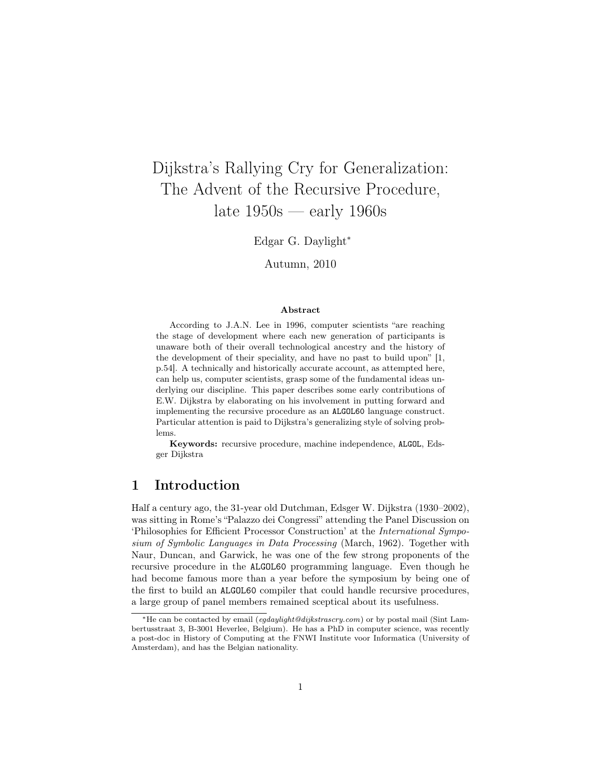# Dijkstra's Rallying Cry for Generalization: The Advent of the Recursive Procedure, late 1950s — early 1960s

Edgar G. Daylight<sup>∗</sup>

Autumn, 2010

#### Abstract

According to J.A.N. Lee in 1996, computer scientists "are reaching the stage of development where each new generation of participants is unaware both of their overall technological ancestry and the history of the development of their speciality, and have no past to build upon" [1, p.54]. A technically and historically accurate account, as attempted here, can help us, computer scientists, grasp some of the fundamental ideas underlying our discipline. This paper describes some early contributions of E.W. Dijkstra by elaborating on his involvement in putting forward and implementing the recursive procedure as an ALGOL60 language construct. Particular attention is paid to Dijkstra's generalizing style of solving problems.

Keywords: recursive procedure, machine independence, ALGOL, Edsger Dijkstra

# 1 Introduction

Half a century ago, the 31-year old Dutchman, Edsger W. Dijkstra (1930–2002), was sitting in Rome's "Palazzo dei Congressi" attending the Panel Discussion on 'Philosophies for Efficient Processor Construction' at the International Symposium of Symbolic Languages in Data Processing (March, 1962). Together with Naur, Duncan, and Garwick, he was one of the few strong proponents of the recursive procedure in the ALGOL60 programming language. Even though he had become famous more than a year before the symposium by being one of the first to build an ALGOL60 compiler that could handle recursive procedures, a large group of panel members remained sceptical about its usefulness.

<sup>∗</sup>He can be contacted by email (egdaylight@dijkstrascry.com) or by postal mail (Sint Lambertusstraat 3, B-3001 Heverlee, Belgium). He has a PhD in computer science, was recently a post-doc in History of Computing at the FNWI Institute voor Informatica (University of Amsterdam), and has the Belgian nationality.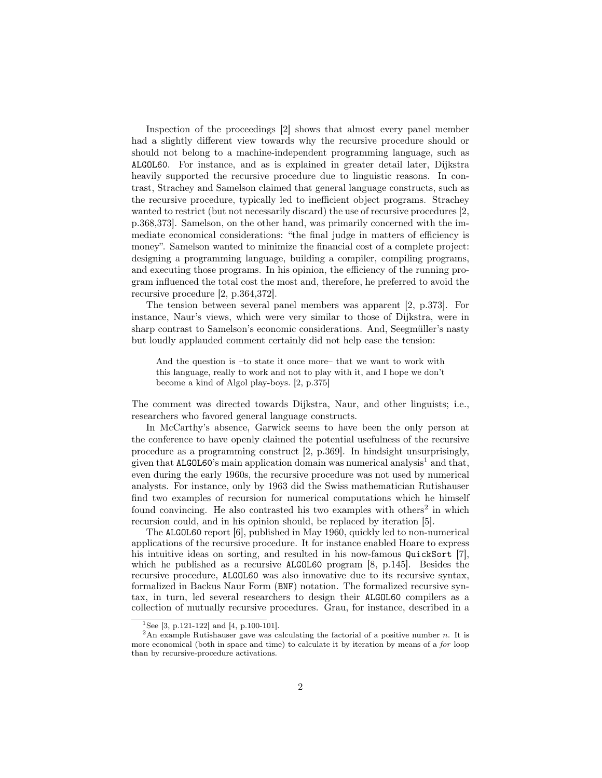Inspection of the proceedings [2] shows that almost every panel member had a slightly different view towards why the recursive procedure should or should not belong to a machine-independent programming language, such as ALGOL60. For instance, and as is explained in greater detail later, Dijkstra heavily supported the recursive procedure due to linguistic reasons. In contrast, Strachey and Samelson claimed that general language constructs, such as the recursive procedure, typically led to inefficient object programs. Strachey wanted to restrict (but not necessarily discard) the use of recursive procedures [2, p.368,373]. Samelson, on the other hand, was primarily concerned with the immediate economical considerations: "the final judge in matters of efficiency is money". Samelson wanted to minimize the financial cost of a complete project: designing a programming language, building a compiler, compiling programs, and executing those programs. In his opinion, the efficiency of the running program influenced the total cost the most and, therefore, he preferred to avoid the recursive procedure [2, p.364,372].

The tension between several panel members was apparent [2, p.373]. For instance, Naur's views, which were very similar to those of Dijkstra, were in sharp contrast to Samelson's economic considerations. And, Seegmüller's nasty but loudly applauded comment certainly did not help ease the tension:

And the question is –to state it once more– that we want to work with this language, really to work and not to play with it, and I hope we don't become a kind of Algol play-boys. [2, p.375]

The comment was directed towards Dijkstra, Naur, and other linguists; i.e., researchers who favored general language constructs.

In McCarthy's absence, Garwick seems to have been the only person at the conference to have openly claimed the potential usefulness of the recursive procedure as a programming construct [2, p.369]. In hindsight unsurprisingly, given that ALGOL60's main application domain was numerical analysis<sup>1</sup> and that, even during the early 1960s, the recursive procedure was not used by numerical analysts. For instance, only by 1963 did the Swiss mathematician Rutishauser find two examples of recursion for numerical computations which he himself found convincing. He also contrasted his two examples with others<sup>2</sup> in which recursion could, and in his opinion should, be replaced by iteration [5].

The ALGOL60 report [6], published in May 1960, quickly led to non-numerical applications of the recursive procedure. It for instance enabled Hoare to express his intuitive ideas on sorting, and resulted in his now-famous QuickSort [7], which he published as a recursive **ALGOL60** program [8, p.145]. Besides the recursive procedure, ALGOL60 was also innovative due to its recursive syntax, formalized in Backus Naur Form (BNF) notation. The formalized recursive syntax, in turn, led several researchers to design their ALGOL60 compilers as a collection of mutually recursive procedures. Grau, for instance, described in a

<sup>&</sup>lt;sup>1</sup>See [3, p.121-122] and [4, p.100-101].

<sup>&</sup>lt;sup>2</sup>An example Rutishauser gave was calculating the factorial of a positive number n. It is more economical (both in space and time) to calculate it by iteration by means of a for loop than by recursive-procedure activations.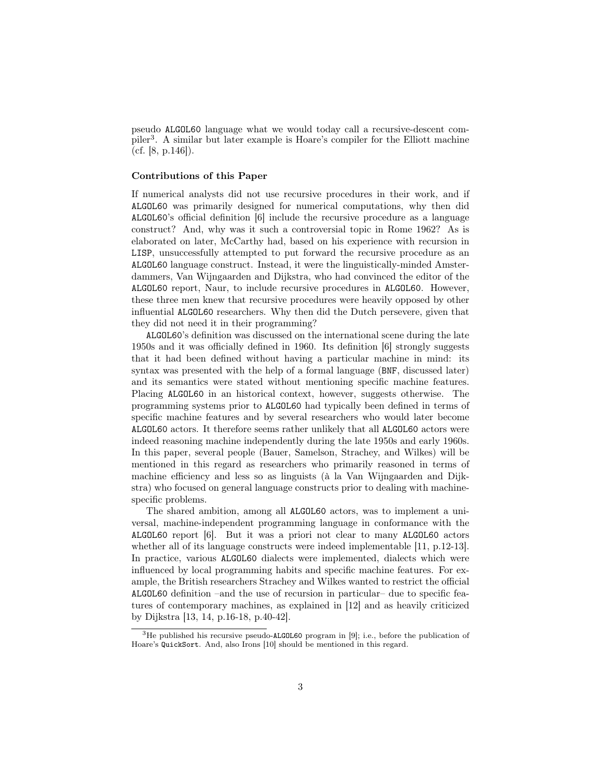pseudo ALGOL60 language what we would today call a recursive-descent compiler<sup>3</sup> . A similar but later example is Hoare's compiler for the Elliott machine (cf. [8, p.146]).

#### Contributions of this Paper

If numerical analysts did not use recursive procedures in their work, and if ALGOL60 was primarily designed for numerical computations, why then did ALGOL60's official definition [6] include the recursive procedure as a language construct? And, why was it such a controversial topic in Rome 1962? As is elaborated on later, McCarthy had, based on his experience with recursion in LISP, unsuccessfully attempted to put forward the recursive procedure as an ALGOL60 language construct. Instead, it were the linguistically-minded Amsterdammers, Van Wijngaarden and Dijkstra, who had convinced the editor of the ALGOL60 report, Naur, to include recursive procedures in ALGOL60. However, these three men knew that recursive procedures were heavily opposed by other influential ALGOL60 researchers. Why then did the Dutch persevere, given that they did not need it in their programming?

ALGOL60's definition was discussed on the international scene during the late 1950s and it was officially defined in 1960. Its definition [6] strongly suggests that it had been defined without having a particular machine in mind: its syntax was presented with the help of a formal language (BNF, discussed later) and its semantics were stated without mentioning specific machine features. Placing ALGOL60 in an historical context, however, suggests otherwise. The programming systems prior to ALGOL60 had typically been defined in terms of specific machine features and by several researchers who would later become ALGOL60 actors. It therefore seems rather unlikely that all ALGOL60 actors were indeed reasoning machine independently during the late 1950s and early 1960s. In this paper, several people (Bauer, Samelson, Strachey, and Wilkes) will be mentioned in this regard as researchers who primarily reasoned in terms of machine efficiency and less so as linguists (à la Van Wijngaarden and Dijkstra) who focused on general language constructs prior to dealing with machinespecific problems.

The shared ambition, among all ALGOL60 actors, was to implement a universal, machine-independent programming language in conformance with the ALGOL60 report [6]. But it was a priori not clear to many ALGOL60 actors whether all of its language constructs were indeed implementable [11, p.12-13]. In practice, various ALGOL60 dialects were implemented, dialects which were influenced by local programming habits and specific machine features. For example, the British researchers Strachey and Wilkes wanted to restrict the official ALGOL60 definition –and the use of recursion in particular– due to specific features of contemporary machines, as explained in [12] and as heavily criticized by Dijkstra [13, 14, p.16-18, p.40-42].

<sup>&</sup>lt;sup>3</sup>He published his recursive pseudo-ALGOL60 program in [9]; i.e., before the publication of Hoare's QuickSort. And, also Irons [10] should be mentioned in this regard.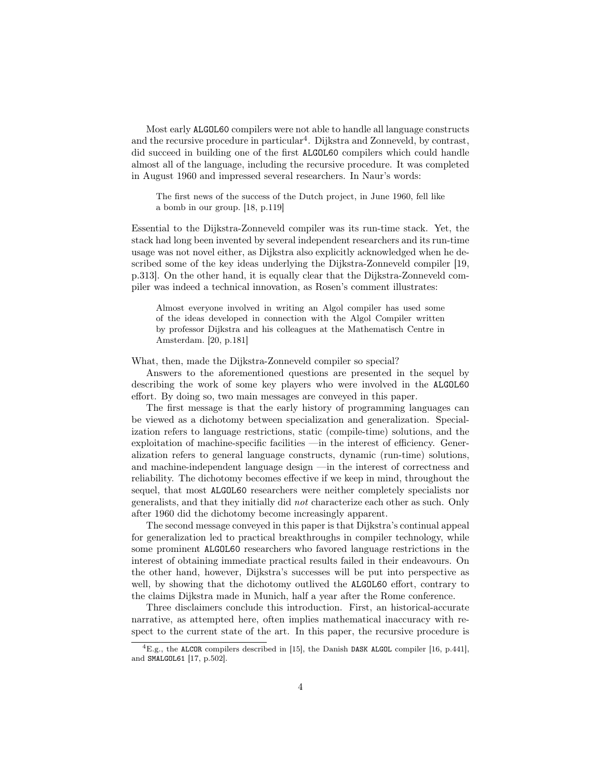Most early ALGOL60 compilers were not able to handle all language constructs and the recursive procedure in particular<sup>4</sup>. Dijkstra and Zonneveld, by contrast, did succeed in building one of the first ALGOL60 compilers which could handle almost all of the language, including the recursive procedure. It was completed in August 1960 and impressed several researchers. In Naur's words:

The first news of the success of the Dutch project, in June 1960, fell like a bomb in our group. [18, p.119]

Essential to the Dijkstra-Zonneveld compiler was its run-time stack. Yet, the stack had long been invented by several independent researchers and its run-time usage was not novel either, as Dijkstra also explicitly acknowledged when he described some of the key ideas underlying the Dijkstra-Zonneveld compiler [19, p.313]. On the other hand, it is equally clear that the Dijkstra-Zonneveld compiler was indeed a technical innovation, as Rosen's comment illustrates:

Almost everyone involved in writing an Algol compiler has used some of the ideas developed in connection with the Algol Compiler written by professor Dijkstra and his colleagues at the Mathematisch Centre in Amsterdam. [20, p.181]

What, then, made the Dijkstra-Zonneveld compiler so special?

Answers to the aforementioned questions are presented in the sequel by describing the work of some key players who were involved in the ALGOL60 effort. By doing so, two main messages are conveyed in this paper.

The first message is that the early history of programming languages can be viewed as a dichotomy between specialization and generalization. Specialization refers to language restrictions, static (compile-time) solutions, and the exploitation of machine-specific facilities —in the interest of efficiency. Generalization refers to general language constructs, dynamic (run-time) solutions, and machine-independent language design —in the interest of correctness and reliability. The dichotomy becomes effective if we keep in mind, throughout the sequel, that most ALGOL60 researchers were neither completely specialists nor generalists, and that they initially did not characterize each other as such. Only after 1960 did the dichotomy become increasingly apparent.

The second message conveyed in this paper is that Dijkstra's continual appeal for generalization led to practical breakthroughs in compiler technology, while some prominent ALGOL60 researchers who favored language restrictions in the interest of obtaining immediate practical results failed in their endeavours. On the other hand, however, Dijkstra's successes will be put into perspective as well, by showing that the dichotomy outlived the ALGOL60 effort, contrary to the claims Dijkstra made in Munich, half a year after the Rome conference.

Three disclaimers conclude this introduction. First, an historical-accurate narrative, as attempted here, often implies mathematical inaccuracy with respect to the current state of the art. In this paper, the recursive procedure is

 ${}^{4}E.g.,$  the ALCOR compilers described in [15], the Danish DASK ALGOL compiler [16, p.441], and SMALGOL61 [17, p.502].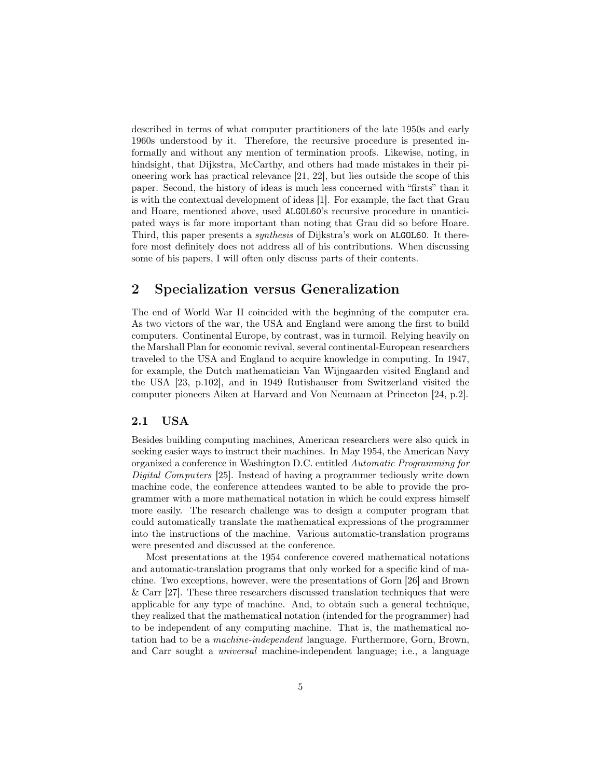described in terms of what computer practitioners of the late 1950s and early 1960s understood by it. Therefore, the recursive procedure is presented informally and without any mention of termination proofs. Likewise, noting, in hindsight, that Dijkstra, McCarthy, and others had made mistakes in their pioneering work has practical relevance [21, 22], but lies outside the scope of this paper. Second, the history of ideas is much less concerned with "firsts" than it is with the contextual development of ideas [1]. For example, the fact that Grau and Hoare, mentioned above, used ALGOL60's recursive procedure in unanticipated ways is far more important than noting that Grau did so before Hoare. Third, this paper presents a synthesis of Dijkstra's work on ALGOL60. It therefore most definitely does not address all of his contributions. When discussing some of his papers, I will often only discuss parts of their contents.

# 2 Specialization versus Generalization

The end of World War II coincided with the beginning of the computer era. As two victors of the war, the USA and England were among the first to build computers. Continental Europe, by contrast, was in turmoil. Relying heavily on the Marshall Plan for economic revival, several continental-European researchers traveled to the USA and England to acquire knowledge in computing. In 1947, for example, the Dutch mathematician Van Wijngaarden visited England and the USA [23, p.102], and in 1949 Rutishauser from Switzerland visited the computer pioneers Aiken at Harvard and Von Neumann at Princeton [24, p.2].

## 2.1 USA

Besides building computing machines, American researchers were also quick in seeking easier ways to instruct their machines. In May 1954, the American Navy organized a conference in Washington D.C. entitled Automatic Programming for Digital Computers [25]. Instead of having a programmer tediously write down machine code, the conference attendees wanted to be able to provide the programmer with a more mathematical notation in which he could express himself more easily. The research challenge was to design a computer program that could automatically translate the mathematical expressions of the programmer into the instructions of the machine. Various automatic-translation programs were presented and discussed at the conference.

Most presentations at the 1954 conference covered mathematical notations and automatic-translation programs that only worked for a specific kind of machine. Two exceptions, however, were the presentations of Gorn [26] and Brown & Carr [27]. These three researchers discussed translation techniques that were applicable for any type of machine. And, to obtain such a general technique, they realized that the mathematical notation (intended for the programmer) had to be independent of any computing machine. That is, the mathematical notation had to be a machine-independent language. Furthermore, Gorn, Brown, and Carr sought a universal machine-independent language; i.e., a language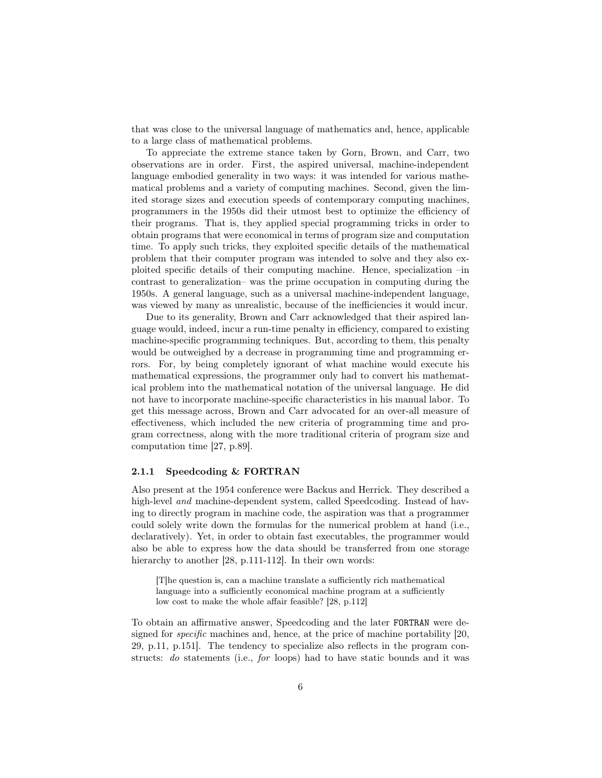that was close to the universal language of mathematics and, hence, applicable to a large class of mathematical problems.

To appreciate the extreme stance taken by Gorn, Brown, and Carr, two observations are in order. First, the aspired universal, machine-independent language embodied generality in two ways: it was intended for various mathematical problems and a variety of computing machines. Second, given the limited storage sizes and execution speeds of contemporary computing machines, programmers in the 1950s did their utmost best to optimize the efficiency of their programs. That is, they applied special programming tricks in order to obtain programs that were economical in terms of program size and computation time. To apply such tricks, they exploited specific details of the mathematical problem that their computer program was intended to solve and they also exploited specific details of their computing machine. Hence, specialization –in contrast to generalization– was the prime occupation in computing during the 1950s. A general language, such as a universal machine-independent language, was viewed by many as unrealistic, because of the inefficiencies it would incur.

Due to its generality, Brown and Carr acknowledged that their aspired language would, indeed, incur a run-time penalty in efficiency, compared to existing machine-specific programming techniques. But, according to them, this penalty would be outweighed by a decrease in programming time and programming errors. For, by being completely ignorant of what machine would execute his mathematical expressions, the programmer only had to convert his mathematical problem into the mathematical notation of the universal language. He did not have to incorporate machine-specific characteristics in his manual labor. To get this message across, Brown and Carr advocated for an over-all measure of effectiveness, which included the new criteria of programming time and program correctness, along with the more traditional criteria of program size and computation time [27, p.89].

#### 2.1.1 Speedcoding & FORTRAN

Also present at the 1954 conference were Backus and Herrick. They described a high-level and machine-dependent system, called Speedcoding. Instead of having to directly program in machine code, the aspiration was that a programmer could solely write down the formulas for the numerical problem at hand (i.e., declaratively). Yet, in order to obtain fast executables, the programmer would also be able to express how the data should be transferred from one storage hierarchy to another [28, p.111-112]. In their own words:

[T]he question is, can a machine translate a sufficiently rich mathematical language into a sufficiently economical machine program at a sufficiently low cost to make the whole affair feasible? [28, p.112]

To obtain an affirmative answer, Speedcoding and the later FORTRAN were designed for specific machines and, hence, at the price of machine portability [20, 29, p.11, p.151]. The tendency to specialize also reflects in the program constructs: do statements (i.e., for loops) had to have static bounds and it was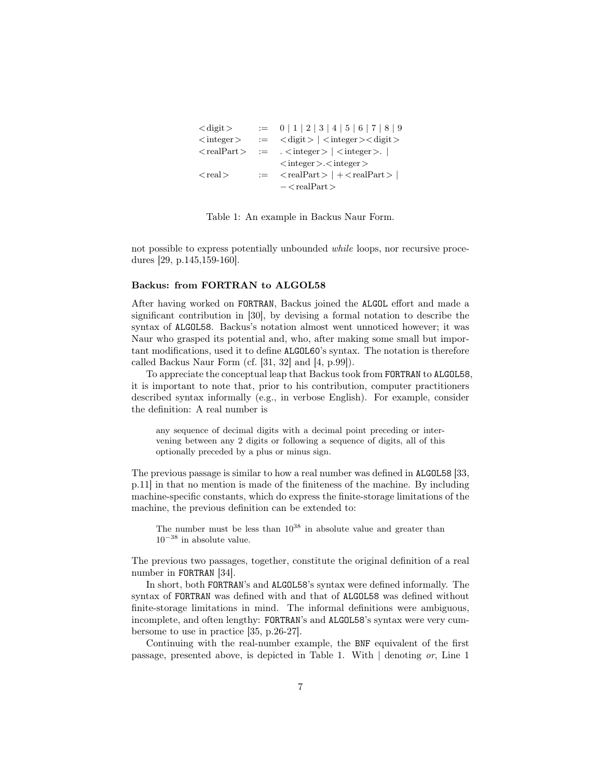```
\langle \text{digit} \rangle := 0 | 1 | 2 | 3 | 4 | 5 | 6 | 7 | 8 | 9
\langleinteger> := \langle digit\rangle |\langleinteger>\langle digit\rangle\langle \text{realPart}\rangle := \langle \text{integer}\rangle | \langle \text{integer}\rangle |
                                 \langleinteger>.\langleinteger>\langle \text{real}\rangle := \langle \text{realPart}\rangle | +\langle \text{realPart}\rangle |
                                 - < realPart >
```
Table 1: An example in Backus Naur Form.

not possible to express potentially unbounded while loops, nor recursive procedures [29, p.145,159-160].

#### Backus: from FORTRAN to ALGOL58

After having worked on FORTRAN, Backus joined the ALGOL effort and made a significant contribution in [30], by devising a formal notation to describe the syntax of ALGOL58. Backus's notation almost went unnoticed however; it was Naur who grasped its potential and, who, after making some small but important modifications, used it to define ALGOL60's syntax. The notation is therefore called Backus Naur Form (cf. [31, 32] and [4, p.99]).

To appreciate the conceptual leap that Backus took from FORTRAN to ALGOL58, it is important to note that, prior to his contribution, computer practitioners described syntax informally (e.g., in verbose English). For example, consider the definition: A real number is

any sequence of decimal digits with a decimal point preceding or intervening between any 2 digits or following a sequence of digits, all of this optionally preceded by a plus or minus sign.

The previous passage is similar to how a real number was defined in ALGOL58 [33, p.11] in that no mention is made of the finiteness of the machine. By including machine-specific constants, which do express the finite-storage limitations of the machine, the previous definition can be extended to:

The number must be less than  $10^{38}$  in absolute value and greater than  $10^{-38}$  in absolute value.

The previous two passages, together, constitute the original definition of a real number in FORTRAN [34].

In short, both FORTRAN's and ALGOL58's syntax were defined informally. The syntax of FORTRAN was defined with and that of ALGOL58 was defined without finite-storage limitations in mind. The informal definitions were ambiguous, incomplete, and often lengthy: FORTRAN's and ALGOL58's syntax were very cumbersome to use in practice [35, p.26-27].

Continuing with the real-number example, the BNF equivalent of the first passage, presented above, is depicted in Table 1. With | denoting or, Line 1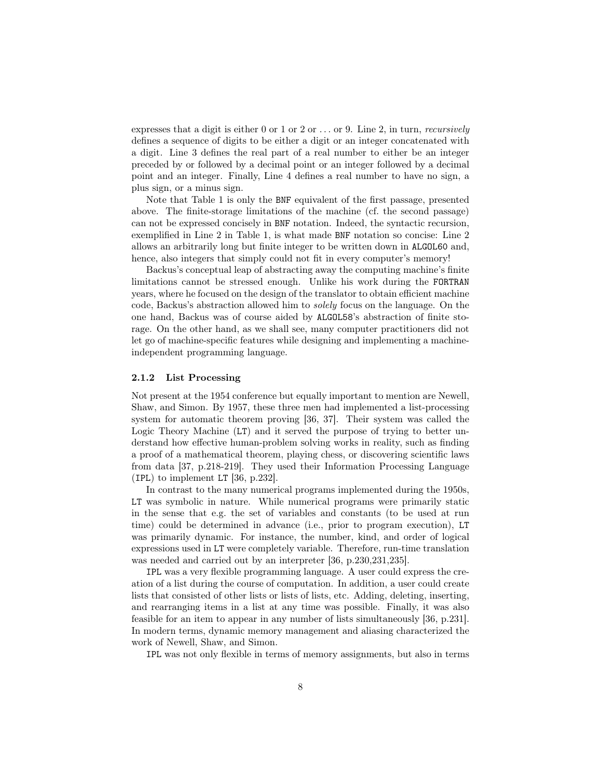expresses that a digit is either 0 or 1 or 2 or  $\dots$  or 9. Line 2, in turn, *recursively* defines a sequence of digits to be either a digit or an integer concatenated with a digit. Line 3 defines the real part of a real number to either be an integer preceded by or followed by a decimal point or an integer followed by a decimal point and an integer. Finally, Line 4 defines a real number to have no sign, a plus sign, or a minus sign.

Note that Table 1 is only the BNF equivalent of the first passage, presented above. The finite-storage limitations of the machine (cf. the second passage) can not be expressed concisely in BNF notation. Indeed, the syntactic recursion, exemplified in Line 2 in Table 1, is what made BNF notation so concise: Line 2 allows an arbitrarily long but finite integer to be written down in ALGOL60 and, hence, also integers that simply could not fit in every computer's memory!

Backus's conceptual leap of abstracting away the computing machine's finite limitations cannot be stressed enough. Unlike his work during the FORTRAN years, where he focused on the design of the translator to obtain efficient machine code, Backus's abstraction allowed him to solely focus on the language. On the one hand, Backus was of course aided by ALGOL58's abstraction of finite storage. On the other hand, as we shall see, many computer practitioners did not let go of machine-specific features while designing and implementing a machineindependent programming language.

#### 2.1.2 List Processing

Not present at the 1954 conference but equally important to mention are Newell, Shaw, and Simon. By 1957, these three men had implemented a list-processing system for automatic theorem proving [36, 37]. Their system was called the Logic Theory Machine (LT) and it served the purpose of trying to better understand how effective human-problem solving works in reality, such as finding a proof of a mathematical theorem, playing chess, or discovering scientific laws from data [37, p.218-219]. They used their Information Processing Language (IPL) to implement LT [36, p.232].

In contrast to the many numerical programs implemented during the 1950s, LT was symbolic in nature. While numerical programs were primarily static in the sense that e.g. the set of variables and constants (to be used at run time) could be determined in advance (i.e., prior to program execution), LT was primarily dynamic. For instance, the number, kind, and order of logical expressions used in LT were completely variable. Therefore, run-time translation was needed and carried out by an interpreter [36, p.230,231,235].

IPL was a very flexible programming language. A user could express the creation of a list during the course of computation. In addition, a user could create lists that consisted of other lists or lists of lists, etc. Adding, deleting, inserting, and rearranging items in a list at any time was possible. Finally, it was also feasible for an item to appear in any number of lists simultaneously [36, p.231]. In modern terms, dynamic memory management and aliasing characterized the work of Newell, Shaw, and Simon.

IPL was not only flexible in terms of memory assignments, but also in terms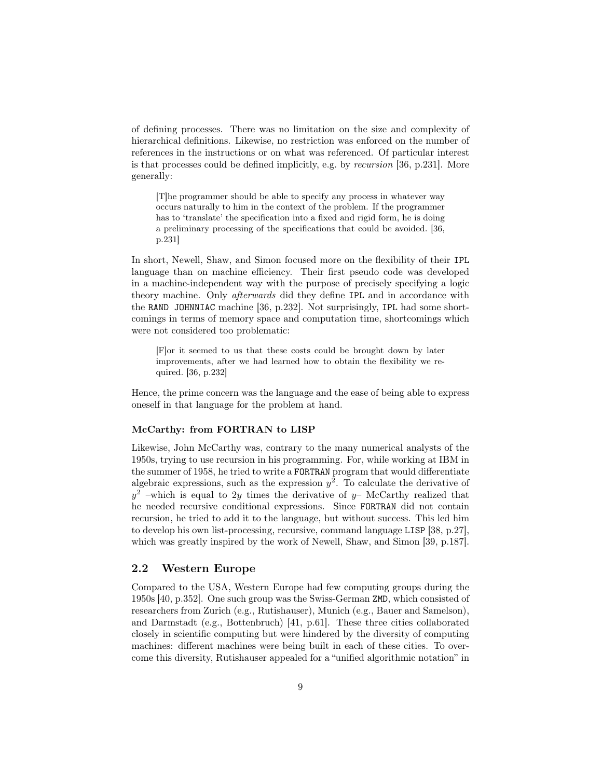of defining processes. There was no limitation on the size and complexity of hierarchical definitions. Likewise, no restriction was enforced on the number of references in the instructions or on what was referenced. Of particular interest is that processes could be defined implicitly, e.g. by recursion [36, p.231]. More generally:

[T]he programmer should be able to specify any process in whatever way occurs naturally to him in the context of the problem. If the programmer has to 'translate' the specification into a fixed and rigid form, he is doing a preliminary processing of the specifications that could be avoided. [36, p.231]

In short, Newell, Shaw, and Simon focused more on the flexibility of their IPL language than on machine efficiency. Their first pseudo code was developed in a machine-independent way with the purpose of precisely specifying a logic theory machine. Only afterwards did they define IPL and in accordance with the RAND JOHNNIAC machine [36, p.232]. Not surprisingly, IPL had some shortcomings in terms of memory space and computation time, shortcomings which were not considered too problematic:

[F]or it seemed to us that these costs could be brought down by later improvements, after we had learned how to obtain the flexibility we required. [36, p.232]

Hence, the prime concern was the language and the ease of being able to express oneself in that language for the problem at hand.

#### McCarthy: from FORTRAN to LISP

Likewise, John McCarthy was, contrary to the many numerical analysts of the 1950s, trying to use recursion in his programming. For, while working at IBM in the summer of 1958, he tried to write a FORTRAN program that would differentiate algebraic expressions, such as the expression  $y^2$ . To calculate the derivative of  $y^2$  –which is equal to 2y times the derivative of y– McCarthy realized that he needed recursive conditional expressions. Since FORTRAN did not contain recursion, he tried to add it to the language, but without success. This led him to develop his own list-processing, recursive, command language LISP [38, p.27], which was greatly inspired by the work of Newell, Shaw, and Simon [39, p.187].

#### 2.2 Western Europe

Compared to the USA, Western Europe had few computing groups during the 1950s [40, p.352]. One such group was the Swiss-German ZMD, which consisted of researchers from Zurich (e.g., Rutishauser), Munich (e.g., Bauer and Samelson), and Darmstadt (e.g., Bottenbruch) [41, p.61]. These three cities collaborated closely in scientific computing but were hindered by the diversity of computing machines: different machines were being built in each of these cities. To overcome this diversity, Rutishauser appealed for a "unified algorithmic notation" in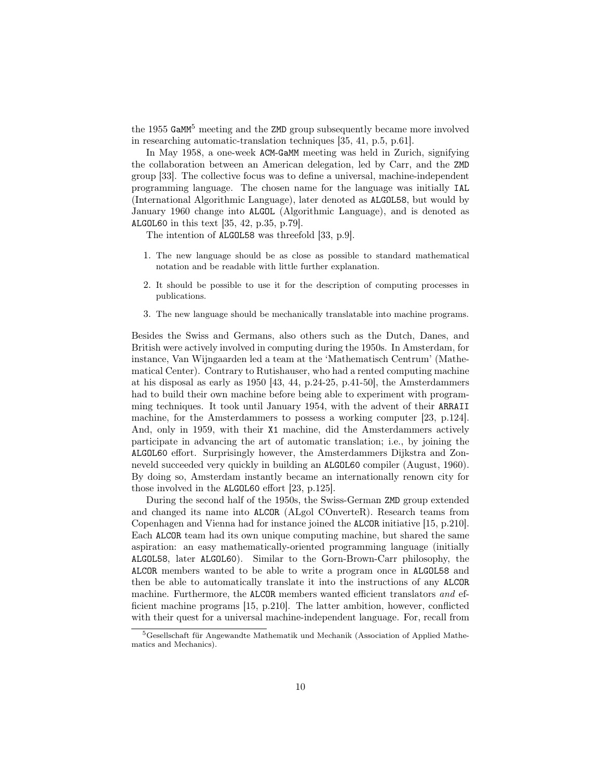the 1955 GaMM<sup>5</sup> meeting and the ZMD group subsequently became more involved in researching automatic-translation techniques [35, 41, p.5, p.61].

In May 1958, a one-week ACM-GaMM meeting was held in Zurich, signifying the collaboration between an American delegation, led by Carr, and the ZMD group [33]. The collective focus was to define a universal, machine-independent programming language. The chosen name for the language was initially IAL (International Algorithmic Language), later denoted as ALGOL58, but would by January 1960 change into ALGOL (Algorithmic Language), and is denoted as ALGOL60 in this text [35, 42, p.35, p.79].

The intention of ALGOL58 was threefold [33, p.9].

- 1. The new language should be as close as possible to standard mathematical notation and be readable with little further explanation.
- 2. It should be possible to use it for the description of computing processes in publications.
- 3. The new language should be mechanically translatable into machine programs.

Besides the Swiss and Germans, also others such as the Dutch, Danes, and British were actively involved in computing during the 1950s. In Amsterdam, for instance, Van Wijngaarden led a team at the 'Mathematisch Centrum' (Mathematical Center). Contrary to Rutishauser, who had a rented computing machine at his disposal as early as 1950 [43, 44, p.24-25, p.41-50], the Amsterdammers had to build their own machine before being able to experiment with programming techniques. It took until January 1954, with the advent of their ARRAII machine, for the Amsterdammers to possess a working computer [23, p.124]. And, only in 1959, with their X1 machine, did the Amsterdammers actively participate in advancing the art of automatic translation; i.e., by joining the ALGOL60 effort. Surprisingly however, the Amsterdammers Dijkstra and Zonneveld succeeded very quickly in building an ALGOL60 compiler (August, 1960). By doing so, Amsterdam instantly became an internationally renown city for those involved in the ALGOL60 effort [23, p.125].

During the second half of the 1950s, the Swiss-German ZMD group extended and changed its name into ALCOR (ALgol COnverteR). Research teams from Copenhagen and Vienna had for instance joined the ALCOR initiative [15, p.210]. Each ALCOR team had its own unique computing machine, but shared the same aspiration: an easy mathematically-oriented programming language (initially ALGOL58, later ALGOL60). Similar to the Gorn-Brown-Carr philosophy, the ALCOR members wanted to be able to write a program once in ALGOL58 and then be able to automatically translate it into the instructions of any ALCOR machine. Furthermore, the ALCOR members wanted efficient translators and efficient machine programs [15, p.210]. The latter ambition, however, conflicted with their quest for a universal machine-independent language. For, recall from

<sup>5</sup>Gesellschaft für Angewandte Mathematik und Mechanik (Association of Applied Mathematics and Mechanics).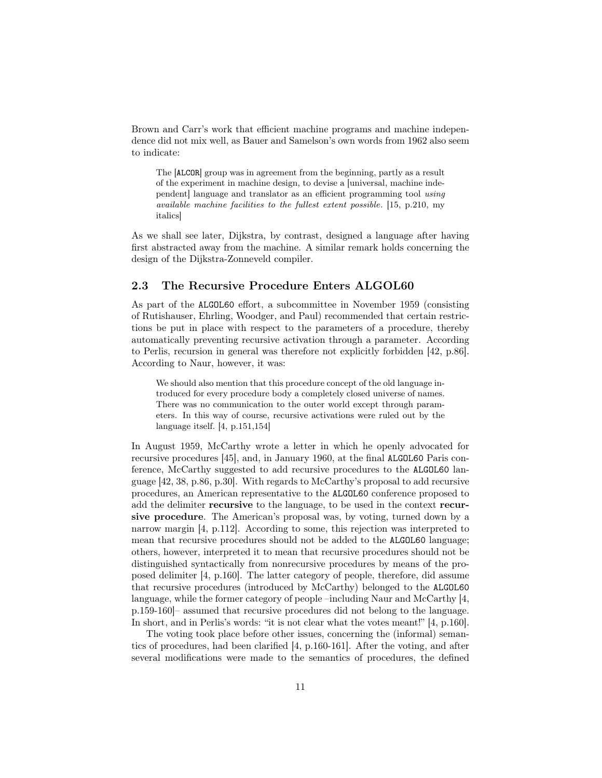Brown and Carr's work that efficient machine programs and machine independence did not mix well, as Bauer and Samelson's own words from 1962 also seem to indicate:

The [ALCOR] group was in agreement from the beginning, partly as a result of the experiment in machine design, to devise a [universal, machine independent] language and translator as an efficient programming tool using available machine facilities to the fullest extent possible. [15, p.210, my italics]

As we shall see later, Dijkstra, by contrast, designed a language after having first abstracted away from the machine. A similar remark holds concerning the design of the Dijkstra-Zonneveld compiler.

# 2.3 The Recursive Procedure Enters ALGOL60

As part of the ALGOL60 effort, a subcommittee in November 1959 (consisting of Rutishauser, Ehrling, Woodger, and Paul) recommended that certain restrictions be put in place with respect to the parameters of a procedure, thereby automatically preventing recursive activation through a parameter. According to Perlis, recursion in general was therefore not explicitly forbidden [42, p.86]. According to Naur, however, it was:

We should also mention that this procedure concept of the old language introduced for every procedure body a completely closed universe of names. There was no communication to the outer world except through parameters. In this way of course, recursive activations were ruled out by the language itself. [4, p.151,154]

In August 1959, McCarthy wrote a letter in which he openly advocated for recursive procedures [45], and, in January 1960, at the final ALGOL60 Paris conference, McCarthy suggested to add recursive procedures to the ALGOL60 language [42, 38, p.86, p.30]. With regards to McCarthy's proposal to add recursive procedures, an American representative to the ALGOL60 conference proposed to add the delimiter recursive to the language, to be used in the context recursive procedure. The American's proposal was, by voting, turned down by a narrow margin [4, p.112]. According to some, this rejection was interpreted to mean that recursive procedures should not be added to the ALGOL60 language; others, however, interpreted it to mean that recursive procedures should not be distinguished syntactically from nonrecursive procedures by means of the proposed delimiter [4, p.160]. The latter category of people, therefore, did assume that recursive procedures (introduced by McCarthy) belonged to the ALGOL60 language, while the former category of people –including Naur and McCarthy [4, p.159-160]– assumed that recursive procedures did not belong to the language. In short, and in Perlis's words: "it is not clear what the votes meant!" [4, p.160].

The voting took place before other issues, concerning the (informal) semantics of procedures, had been clarified [4, p.160-161]. After the voting, and after several modifications were made to the semantics of procedures, the defined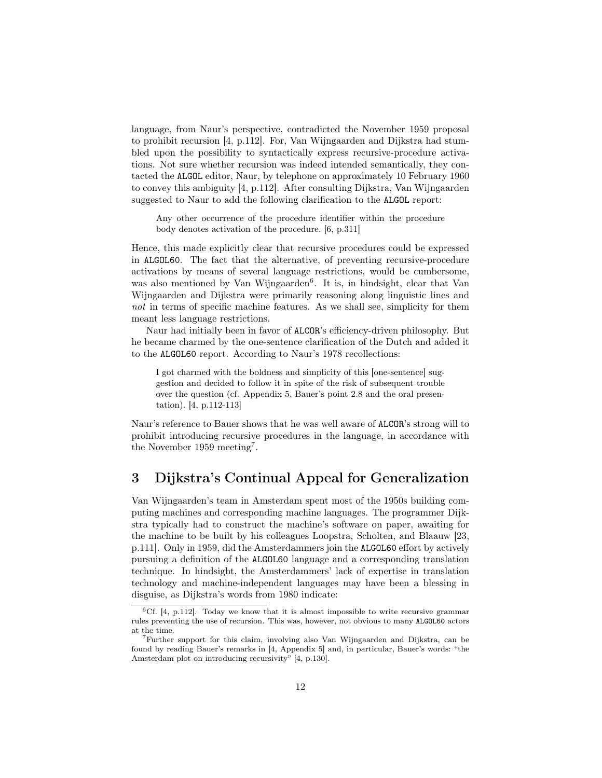language, from Naur's perspective, contradicted the November 1959 proposal to prohibit recursion [4, p.112]. For, Van Wijngaarden and Dijkstra had stumbled upon the possibility to syntactically express recursive-procedure activations. Not sure whether recursion was indeed intended semantically, they contacted the ALGOL editor, Naur, by telephone on approximately 10 February 1960 to convey this ambiguity [4, p.112]. After consulting Dijkstra, Van Wijngaarden suggested to Naur to add the following clarification to the ALGOL report:

Any other occurrence of the procedure identifier within the procedure body denotes activation of the procedure. [6, p.311]

Hence, this made explicitly clear that recursive procedures could be expressed in ALGOL60. The fact that the alternative, of preventing recursive-procedure activations by means of several language restrictions, would be cumbersome, was also mentioned by Van Wijngaarden<sup>6</sup>. It is, in hindsight, clear that Van Wijngaarden and Dijkstra were primarily reasoning along linguistic lines and not in terms of specific machine features. As we shall see, simplicity for them meant less language restrictions.

Naur had initially been in favor of ALCOR's efficiency-driven philosophy. But he became charmed by the one-sentence clarification of the Dutch and added it to the ALGOL60 report. According to Naur's 1978 recollections:

I got charmed with the boldness and simplicity of this [one-sentence] suggestion and decided to follow it in spite of the risk of subsequent trouble over the question (cf. Appendix 5, Bauer's point 2.8 and the oral presentation). [4, p.112-113]

Naur's reference to Bauer shows that he was well aware of ALCOR's strong will to prohibit introducing recursive procedures in the language, in accordance with the November 1959 meeting<sup>7</sup>.

# 3 Dijkstra's Continual Appeal for Generalization

Van Wijngaarden's team in Amsterdam spent most of the 1950s building computing machines and corresponding machine languages. The programmer Dijkstra typically had to construct the machine's software on paper, awaiting for the machine to be built by his colleagues Loopstra, Scholten, and Blaauw [23, p.111]. Only in 1959, did the Amsterdammers join the ALGOL60 effort by actively pursuing a definition of the ALGOL60 language and a corresponding translation technique. In hindsight, the Amsterdammers' lack of expertise in translation technology and machine-independent languages may have been a blessing in disguise, as Dijkstra's words from 1980 indicate:

 ${}^{6}$ Cf. [4, p.112]. Today we know that it is almost impossible to write recursive grammar rules preventing the use of recursion. This was, however, not obvious to many ALGOL60 actors at the time.

<sup>7</sup>Further support for this claim, involving also Van Wijngaarden and Dijkstra, can be found by reading Bauer's remarks in [4, Appendix 5] and, in particular, Bauer's words: "the Amsterdam plot on introducing recursivity" [4, p.130].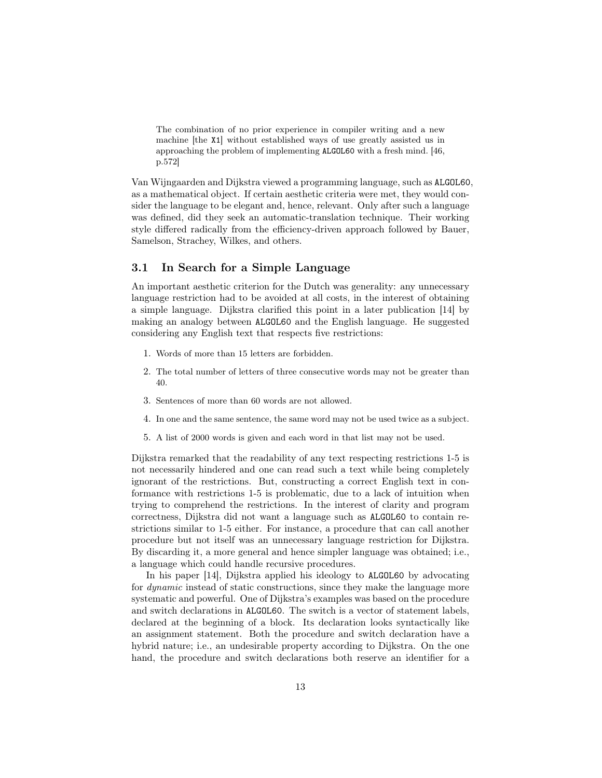The combination of no prior experience in compiler writing and a new machine [the X1] without established ways of use greatly assisted us in approaching the problem of implementing ALGOL60 with a fresh mind. [46, p.572]

Van Wijngaarden and Dijkstra viewed a programming language, such as ALGOL60, as a mathematical object. If certain aesthetic criteria were met, they would consider the language to be elegant and, hence, relevant. Only after such a language was defined, did they seek an automatic-translation technique. Their working style differed radically from the efficiency-driven approach followed by Bauer, Samelson, Strachey, Wilkes, and others.

## 3.1 In Search for a Simple Language

An important aesthetic criterion for the Dutch was generality: any unnecessary language restriction had to be avoided at all costs, in the interest of obtaining a simple language. Dijkstra clarified this point in a later publication [14] by making an analogy between ALGOL60 and the English language. He suggested considering any English text that respects five restrictions:

- 1. Words of more than 15 letters are forbidden.
- 2. The total number of letters of three consecutive words may not be greater than 40.
- 3. Sentences of more than 60 words are not allowed.
- 4. In one and the same sentence, the same word may not be used twice as a subject.
- 5. A list of 2000 words is given and each word in that list may not be used.

Dijkstra remarked that the readability of any text respecting restrictions 1-5 is not necessarily hindered and one can read such a text while being completely ignorant of the restrictions. But, constructing a correct English text in conformance with restrictions 1-5 is problematic, due to a lack of intuition when trying to comprehend the restrictions. In the interest of clarity and program correctness, Dijkstra did not want a language such as ALGOL60 to contain restrictions similar to 1-5 either. For instance, a procedure that can call another procedure but not itself was an unnecessary language restriction for Dijkstra. By discarding it, a more general and hence simpler language was obtained; i.e., a language which could handle recursive procedures.

In his paper [14], Dijkstra applied his ideology to ALGOL60 by advocating for dynamic instead of static constructions, since they make the language more systematic and powerful. One of Dijkstra's examples was based on the procedure and switch declarations in ALGOL60. The switch is a vector of statement labels, declared at the beginning of a block. Its declaration looks syntactically like an assignment statement. Both the procedure and switch declaration have a hybrid nature; i.e., an undesirable property according to Dijkstra. On the one hand, the procedure and switch declarations both reserve an identifier for a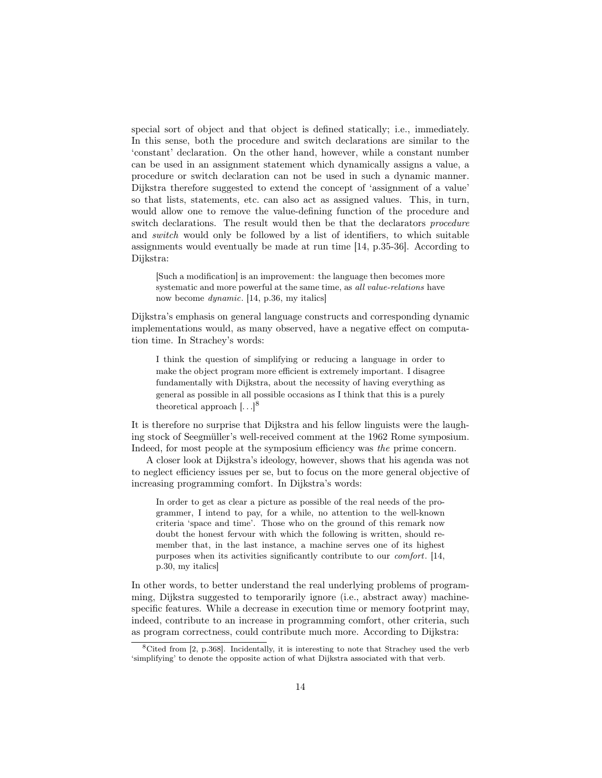special sort of object and that object is defined statically; i.e., immediately. In this sense, both the procedure and switch declarations are similar to the 'constant' declaration. On the other hand, however, while a constant number can be used in an assignment statement which dynamically assigns a value, a procedure or switch declaration can not be used in such a dynamic manner. Dijkstra therefore suggested to extend the concept of 'assignment of a value' so that lists, statements, etc. can also act as assigned values. This, in turn, would allow one to remove the value-defining function of the procedure and switch declarations. The result would then be that the declarators *procedure* and switch would only be followed by a list of identifiers, to which suitable assignments would eventually be made at run time [14, p.35-36]. According to Dijkstra:

[Such a modification] is an improvement: the language then becomes more systematic and more powerful at the same time, as all value-relations have now become dynamic. [14, p.36, my italics]

Dijkstra's emphasis on general language constructs and corresponding dynamic implementations would, as many observed, have a negative effect on computation time. In Strachey's words:

I think the question of simplifying or reducing a language in order to make the object program more efficient is extremely important. I disagree fundamentally with Dijkstra, about the necessity of having everything as general as possible in all possible occasions as I think that this is a purely theoretical approach  $[\ldots]^{8}$ 

It is therefore no surprise that Dijkstra and his fellow linguists were the laughing stock of Seegmüller's well-received comment at the 1962 Rome symposium. Indeed, for most people at the symposium efficiency was the prime concern.

A closer look at Dijkstra's ideology, however, shows that his agenda was not to neglect efficiency issues per se, but to focus on the more general objective of increasing programming comfort. In Dijkstra's words:

In order to get as clear a picture as possible of the real needs of the programmer, I intend to pay, for a while, no attention to the well-known criteria 'space and time'. Those who on the ground of this remark now doubt the honest fervour with which the following is written, should remember that, in the last instance, a machine serves one of its highest purposes when its activities significantly contribute to our comfort. [14, p.30, my italics]

In other words, to better understand the real underlying problems of programming, Dijkstra suggested to temporarily ignore (i.e., abstract away) machinespecific features. While a decrease in execution time or memory footprint may, indeed, contribute to an increase in programming comfort, other criteria, such as program correctness, could contribute much more. According to Dijkstra:

<sup>8</sup>Cited from [2, p.368]. Incidentally, it is interesting to note that Strachey used the verb 'simplifying' to denote the opposite action of what Dijkstra associated with that verb.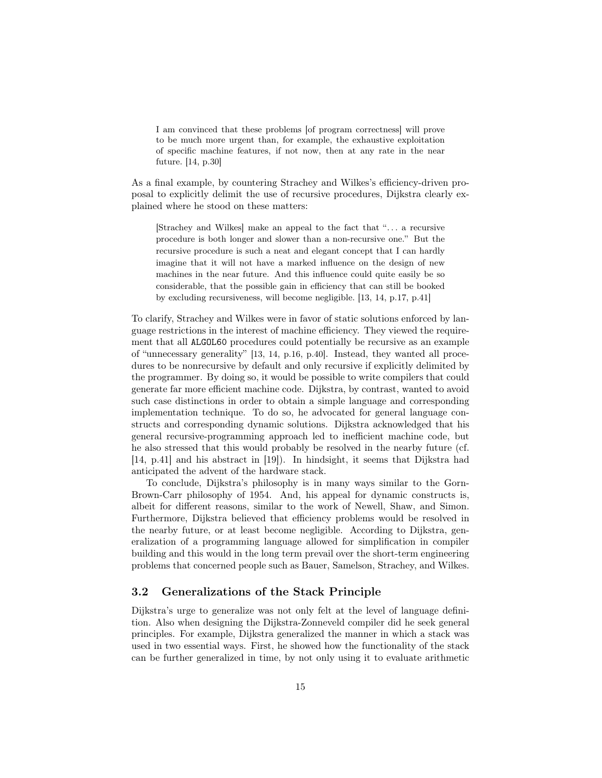I am convinced that these problems [of program correctness] will prove to be much more urgent than, for example, the exhaustive exploitation of specific machine features, if not now, then at any rate in the near future. [14, p.30]

As a final example, by countering Strachey and Wilkes's efficiency-driven proposal to explicitly delimit the use of recursive procedures, Dijkstra clearly explained where he stood on these matters:

[Strachey and Wilkes] make an appeal to the fact that ". . . a recursive procedure is both longer and slower than a non-recursive one." But the recursive procedure is such a neat and elegant concept that I can hardly imagine that it will not have a marked influence on the design of new machines in the near future. And this influence could quite easily be so considerable, that the possible gain in efficiency that can still be booked by excluding recursiveness, will become negligible. [13, 14, p.17, p.41]

To clarify, Strachey and Wilkes were in favor of static solutions enforced by language restrictions in the interest of machine efficiency. They viewed the requirement that all ALGOL60 procedures could potentially be recursive as an example of "unnecessary generality" [13, 14, p.16, p.40]. Instead, they wanted all procedures to be nonrecursive by default and only recursive if explicitly delimited by the programmer. By doing so, it would be possible to write compilers that could generate far more efficient machine code. Dijkstra, by contrast, wanted to avoid such case distinctions in order to obtain a simple language and corresponding implementation technique. To do so, he advocated for general language constructs and corresponding dynamic solutions. Dijkstra acknowledged that his general recursive-programming approach led to inefficient machine code, but he also stressed that this would probably be resolved in the nearby future (cf. [14, p.41] and his abstract in [19]). In hindsight, it seems that Dijkstra had anticipated the advent of the hardware stack.

To conclude, Dijkstra's philosophy is in many ways similar to the Gorn-Brown-Carr philosophy of 1954. And, his appeal for dynamic constructs is, albeit for different reasons, similar to the work of Newell, Shaw, and Simon. Furthermore, Dijkstra believed that efficiency problems would be resolved in the nearby future, or at least become negligible. According to Dijkstra, generalization of a programming language allowed for simplification in compiler building and this would in the long term prevail over the short-term engineering problems that concerned people such as Bauer, Samelson, Strachey, and Wilkes.

#### 3.2 Generalizations of the Stack Principle

Dijkstra's urge to generalize was not only felt at the level of language definition. Also when designing the Dijkstra-Zonneveld compiler did he seek general principles. For example, Dijkstra generalized the manner in which a stack was used in two essential ways. First, he showed how the functionality of the stack can be further generalized in time, by not only using it to evaluate arithmetic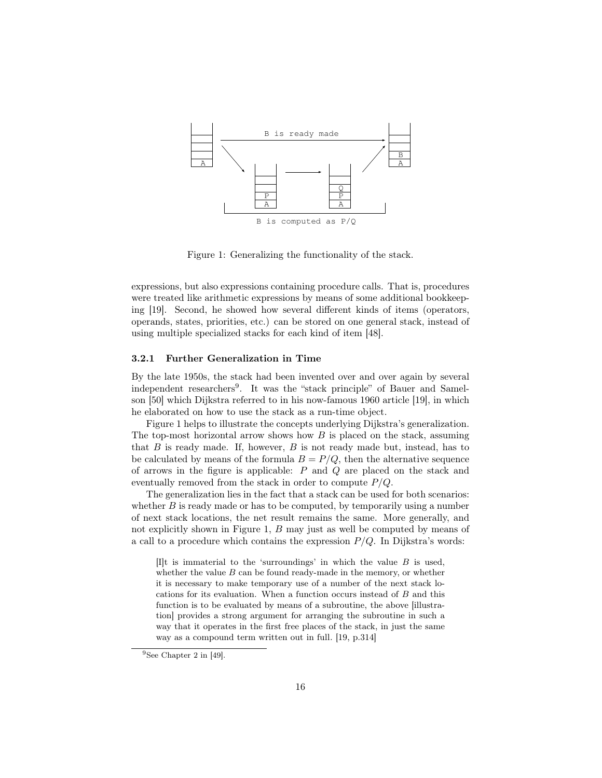

Figure 1: Generalizing the functionality of the stack.

expressions, but also expressions containing procedure calls. That is, procedures were treated like arithmetic expressions by means of some additional bookkeeping [19]. Second, he showed how several different kinds of items (operators, operands, states, priorities, etc.) can be stored on one general stack, instead of using multiple specialized stacks for each kind of item [48].

#### 3.2.1 Further Generalization in Time

By the late 1950s, the stack had been invented over and over again by several independent researchers<sup>9</sup>. It was the "stack principle" of Bauer and Samelson [50] which Dijkstra referred to in his now-famous 1960 article [19], in which he elaborated on how to use the stack as a run-time object.

Figure 1 helps to illustrate the concepts underlying Dijkstra's generalization. The top-most horizontal arrow shows how  $B$  is placed on the stack, assuming that  $B$  is ready made. If, however,  $B$  is not ready made but, instead, has to be calculated by means of the formula  $B = P/Q$ , then the alternative sequence of arrows in the figure is applicable: P and Q are placed on the stack and eventually removed from the stack in order to compute  $P/Q$ .

The generalization lies in the fact that a stack can be used for both scenarios: whether  $B$  is ready made or has to be computed, by temporarily using a number of next stack locations, the net result remains the same. More generally, and not explicitly shown in Figure 1, B may just as well be computed by means of a call to a procedure which contains the expression  $P/Q$ . In Dijkstra's words:

[I]t is immaterial to the 'surroundings' in which the value  $B$  is used, whether the value  $B$  can be found ready-made in the memory, or whether it is necessary to make temporary use of a number of the next stack locations for its evaluation. When a function occurs instead of B and this function is to be evaluated by means of a subroutine, the above [illustration] provides a strong argument for arranging the subroutine in such a way that it operates in the first free places of the stack, in just the same way as a compound term written out in full. [19, p.314]

<sup>&</sup>lt;sup>9</sup>See Chapter 2 in [49].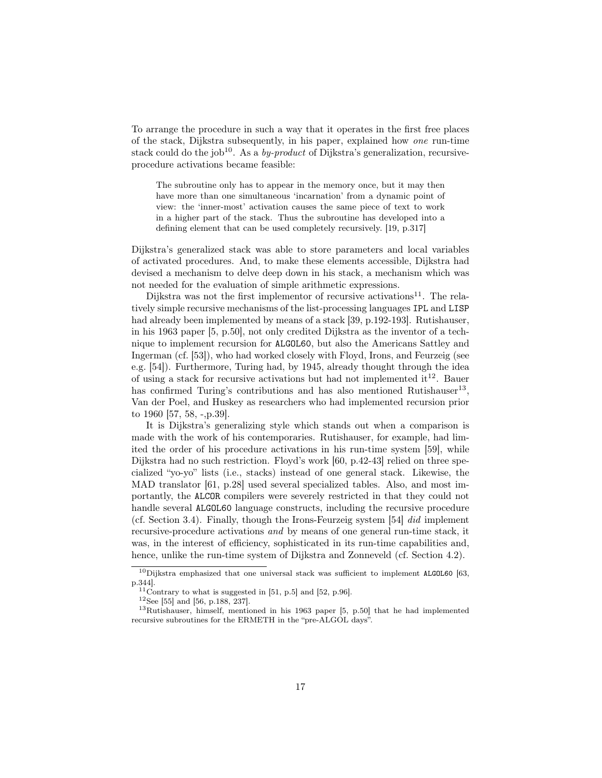To arrange the procedure in such a way that it operates in the first free places of the stack, Dijkstra subsequently, in his paper, explained how one run-time stack could do the job<sup>10</sup>. As a *by-product* of Dijkstra's generalization, recursiveprocedure activations became feasible:

The subroutine only has to appear in the memory once, but it may then have more than one simultaneous 'incarnation' from a dynamic point of view: the 'inner-most' activation causes the same piece of text to work in a higher part of the stack. Thus the subroutine has developed into a defining element that can be used completely recursively. [19, p.317]

Dijkstra's generalized stack was able to store parameters and local variables of activated procedures. And, to make these elements accessible, Dijkstra had devised a mechanism to delve deep down in his stack, a mechanism which was not needed for the evaluation of simple arithmetic expressions.

Dijkstra was not the first implementor of recursive activations<sup>11</sup>. The relatively simple recursive mechanisms of the list-processing languages IPL and LISP had already been implemented by means of a stack [39, p.192-193]. Rutishauser, in his 1963 paper [5, p.50], not only credited Dijkstra as the inventor of a technique to implement recursion for ALGOL60, but also the Americans Sattley and Ingerman (cf. [53]), who had worked closely with Floyd, Irons, and Feurzeig (see e.g. [54]). Furthermore, Turing had, by 1945, already thought through the idea of using a stack for recursive activations but had not implemented it<sup>12</sup>. Bauer has confirmed Turing's contributions and has also mentioned Rutishauser<sup>13</sup>, Van der Poel, and Huskey as researchers who had implemented recursion prior to 1960 [57, 58, -,p.39].

It is Dijkstra's generalizing style which stands out when a comparison is made with the work of his contemporaries. Rutishauser, for example, had limited the order of his procedure activations in his run-time system [59], while Dijkstra had no such restriction. Floyd's work [60, p.42-43] relied on three specialized "yo-yo" lists (i.e., stacks) instead of one general stack. Likewise, the MAD translator [61, p.28] used several specialized tables. Also, and most importantly, the ALCOR compilers were severely restricted in that they could not handle several ALGOL60 language constructs, including the recursive procedure (cf. Section 3.4). Finally, though the Irons-Feurzeig system [54] did implement recursive-procedure activations and by means of one general run-time stack, it was, in the interest of efficiency, sophisticated in its run-time capabilities and, hence, unlike the run-time system of Dijkstra and Zonneveld (cf. Section 4.2).

 $10$ Dijkstra emphasized that one universal stack was sufficient to implement ALGOL60 [63, p.344].

 $11$ Contrary to what is suggested in [51, p.5] and [52, p.96].

<sup>12</sup>See [55] and [56, p.188, 237].

<sup>13</sup>Rutishauser, himself, mentioned in his 1963 paper [5, p.50] that he had implemented recursive subroutines for the ERMETH in the "pre-ALGOL days".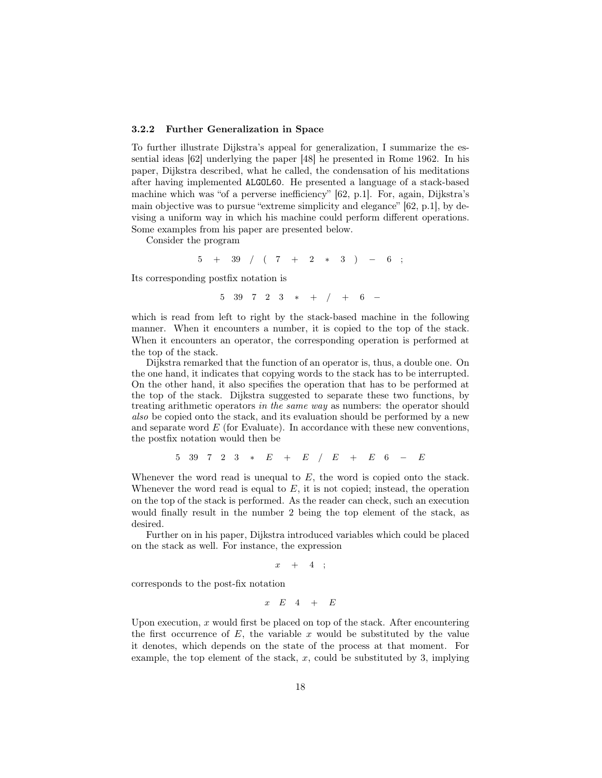#### 3.2.2 Further Generalization in Space

To further illustrate Dijkstra's appeal for generalization, I summarize the essential ideas [62] underlying the paper [48] he presented in Rome 1962. In his paper, Dijkstra described, what he called, the condensation of his meditations after having implemented ALGOL60. He presented a language of a stack-based machine which was "of a perverse inefficiency" [62, p.1]. For, again, Dijkstra's main objective was to pursue "extreme simplicity and elegance" [62, p.1], by devising a uniform way in which his machine could perform different operations. Some examples from his paper are presented below.

Consider the program

 $5 + 39$  / (  $7 + 2 * 3$  ) – 6;

Its corresponding postfix notation is

 $5 \t39 \t7 \t2 \t3 \t* + / + 6 -$ 

which is read from left to right by the stack-based machine in the following manner. When it encounters a number, it is copied to the top of the stack. When it encounters an operator, the corresponding operation is performed at the top of the stack.

Dijkstra remarked that the function of an operator is, thus, a double one. On the one hand, it indicates that copying words to the stack has to be interrupted. On the other hand, it also specifies the operation that has to be performed at the top of the stack. Dijkstra suggested to separate these two functions, by treating arithmetic operators in the same way as numbers: the operator should also be copied onto the stack, and its evaluation should be performed by a new and separate word  $E$  (for Evaluate). In accordance with these new conventions, the postfix notation would then be

$$
5\quad 39\quad 7\quad 2\quad 3\quad *\quad E\quad +\quad E\quad /\quad E\quad +\quad E\quad 6\quad -\quad E
$$

Whenever the word read is unequal to  $E$ , the word is copied onto the stack. Whenever the word read is equal to  $E$ , it is not copied; instead, the operation on the top of the stack is performed. As the reader can check, such an execution would finally result in the number 2 being the top element of the stack, as desired.

Further on in his paper, Dijkstra introduced variables which could be placed on the stack as well. For instance, the expression

$$
x~~+~~4~~;\\
$$

corresponds to the post-fix notation

 $x E_4 + E_5$ 

Upon execution,  $x$  would first be placed on top of the stack. After encountering the first occurrence of  $E$ , the variable x would be substituted by the value it denotes, which depends on the state of the process at that moment. For example, the top element of the stack,  $x$ , could be substituted by 3, implying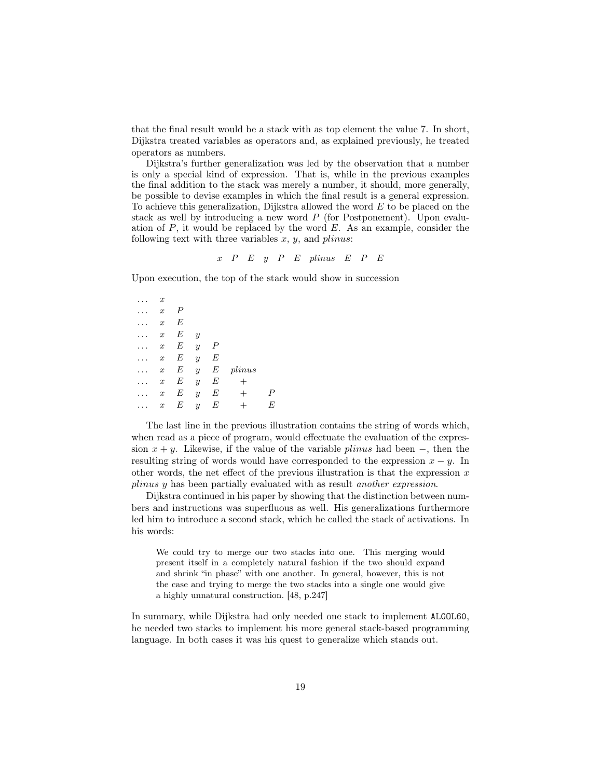that the final result would be a stack with as top element the value 7. In short, Dijkstra treated variables as operators and, as explained previously, he treated operators as numbers.

Dijkstra's further generalization was led by the observation that a number is only a special kind of expression. That is, while in the previous examples the final addition to the stack was merely a number, it should, more generally, be possible to devise examples in which the final result is a general expression. To achieve this generalization, Dijkstra allowed the word E to be placed on the stack as well by introducing a new word P (for Postponement). Upon evaluation of  $P$ , it would be replaced by the word  $E$ . As an example, consider the following text with three variables  $x, y$ , and  $\text{plinus:}$ 

$$
x
$$
  $P$   $E$   $y$   $P$   $E$   $plinus$   $E$   $P$   $E$ 

Upon execution, the top of the stack would show in succession

 $\ldots$   $x$  $\ldots$   $x$   $P$  $x E$  $\ldots$   $x$   $E$   $y$  $\ldots$   $x$   $E$   $y$   $P$  $\ldots$  x E y E  $\ldots$  x E y E plinus  $\ldots$  x E y E +  $\ldots$  x E y E + P  $\ldots$  x E y E + E

The last line in the previous illustration contains the string of words which, when read as a piece of program, would effectuate the evaluation of the expression  $x + y$ . Likewise, if the value of the variable *plinus* had been –, then the resulting string of words would have corresponded to the expression  $x - y$ . In other words, the net effect of the previous illustration is that the expression  $x$ plinus y has been partially evaluated with as result another expression.

Dijkstra continued in his paper by showing that the distinction between numbers and instructions was superfluous as well. His generalizations furthermore led him to introduce a second stack, which he called the stack of activations. In his words:

We could try to merge our two stacks into one. This merging would present itself in a completely natural fashion if the two should expand and shrink "in phase" with one another. In general, however, this is not the case and trying to merge the two stacks into a single one would give a highly unnatural construction. [48, p.247]

In summary, while Dijkstra had only needed one stack to implement ALGOL60, he needed two stacks to implement his more general stack-based programming language. In both cases it was his quest to generalize which stands out.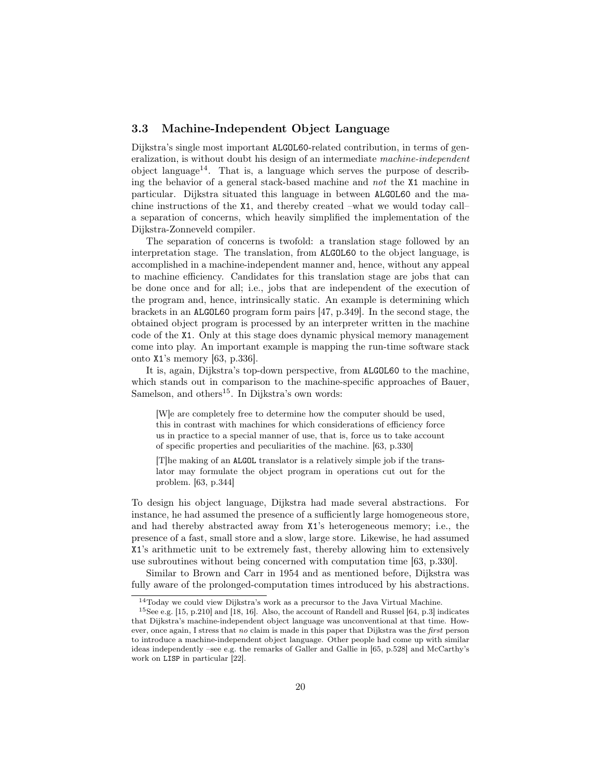## 3.3 Machine-Independent Object Language

Dijkstra's single most important ALGOL60-related contribution, in terms of generalization, is without doubt his design of an intermediate machine-independent object language<sup>14</sup>. That is, a language which serves the purpose of describing the behavior of a general stack-based machine and not the X1 machine in particular. Dijkstra situated this language in between ALGOL60 and the machine instructions of the X1, and thereby created –what we would today call– a separation of concerns, which heavily simplified the implementation of the Dijkstra-Zonneveld compiler.

The separation of concerns is twofold: a translation stage followed by an interpretation stage. The translation, from ALGOL60 to the object language, is accomplished in a machine-independent manner and, hence, without any appeal to machine efficiency. Candidates for this translation stage are jobs that can be done once and for all; i.e., jobs that are independent of the execution of the program and, hence, intrinsically static. An example is determining which brackets in an ALGOL60 program form pairs [47, p.349]. In the second stage, the obtained object program is processed by an interpreter written in the machine code of the X1. Only at this stage does dynamic physical memory management come into play. An important example is mapping the run-time software stack onto X1's memory [63, p.336].

It is, again, Dijkstra's top-down perspective, from ALGOL60 to the machine, which stands out in comparison to the machine-specific approaches of Bauer, Samelson, and others<sup>15</sup>. In Dijkstra's own words:

[W]e are completely free to determine how the computer should be used, this in contrast with machines for which considerations of efficiency force us in practice to a special manner of use, that is, force us to take account of specific properties and peculiarities of the machine. [63, p.330]

[T]he making of an ALGOL translator is a relatively simple job if the translator may formulate the object program in operations cut out for the problem. [63, p.344]

To design his object language, Dijkstra had made several abstractions. For instance, he had assumed the presence of a sufficiently large homogeneous store, and had thereby abstracted away from X1's heterogeneous memory; i.e., the presence of a fast, small store and a slow, large store. Likewise, he had assumed X1's arithmetic unit to be extremely fast, thereby allowing him to extensively use subroutines without being concerned with computation time [63, p.330].

Similar to Brown and Carr in 1954 and as mentioned before, Dijkstra was fully aware of the prolonged-computation times introduced by his abstractions.

<sup>14</sup>Today we could view Dijkstra's work as a precursor to the Java Virtual Machine.

<sup>15</sup>See e.g. [15, p.210] and [18, 16]. Also, the account of Randell and Russel [64, p.3] indicates that Dijkstra's machine-independent object language was unconventional at that time. However, once again, I stress that no claim is made in this paper that Dijkstra was the first person to introduce a machine-independent object language. Other people had come up with similar ideas independently –see e.g. the remarks of Galler and Gallie in [65, p.528] and McCarthy's work on LISP in particular [22].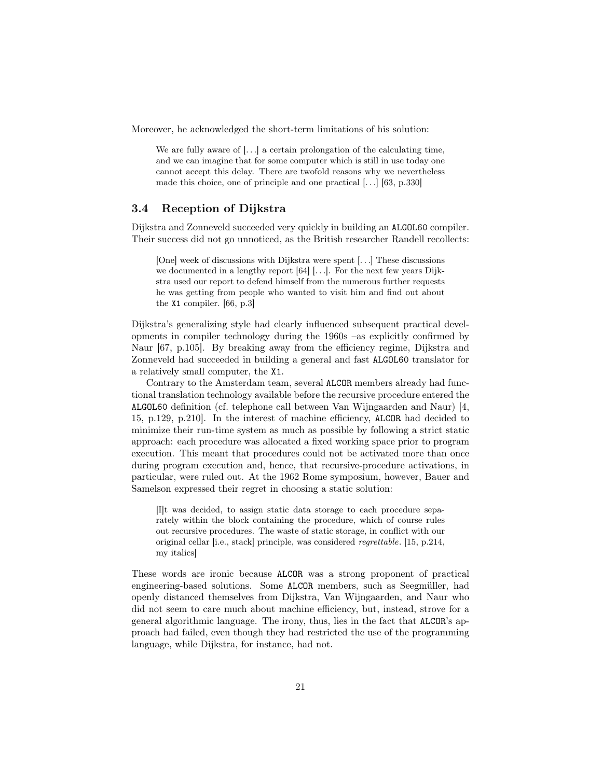Moreover, he acknowledged the short-term limitations of his solution:

We are fully aware of  $[\ldots]$  a certain prolongation of the calculating time, and we can imagine that for some computer which is still in use today one cannot accept this delay. There are twofold reasons why we nevertheless made this choice, one of principle and one practical [. . .] [63, p.330]

#### 3.4 Reception of Dijkstra

Dijkstra and Zonneveld succeeded very quickly in building an ALGOL60 compiler. Their success did not go unnoticed, as the British researcher Randell recollects:

[One] week of discussions with Dijkstra were spent [. . .] These discussions we documented in a lengthy report [64] [...]. For the next few years Dijkstra used our report to defend himself from the numerous further requests he was getting from people who wanted to visit him and find out about the X1 compiler. [66, p.3]

Dijkstra's generalizing style had clearly influenced subsequent practical developments in compiler technology during the 1960s –as explicitly confirmed by Naur [67, p.105]. By breaking away from the efficiency regime, Dijkstra and Zonneveld had succeeded in building a general and fast ALGOL60 translator for a relatively small computer, the X1.

Contrary to the Amsterdam team, several ALCOR members already had functional translation technology available before the recursive procedure entered the ALGOL60 definition (cf. telephone call between Van Wijngaarden and Naur) [4, 15, p.129, p.210]. In the interest of machine efficiency, ALCOR had decided to minimize their run-time system as much as possible by following a strict static approach: each procedure was allocated a fixed working space prior to program execution. This meant that procedures could not be activated more than once during program execution and, hence, that recursive-procedure activations, in particular, were ruled out. At the 1962 Rome symposium, however, Bauer and Samelson expressed their regret in choosing a static solution:

[I]t was decided, to assign static data storage to each procedure separately within the block containing the procedure, which of course rules out recursive procedures. The waste of static storage, in conflict with our original cellar [i.e., stack] principle, was considered regrettable. [15, p.214, my italics]

These words are ironic because ALCOR was a strong proponent of practical engineering-based solutions. Some ALCOR members, such as Seegmüller, had openly distanced themselves from Dijkstra, Van Wijngaarden, and Naur who did not seem to care much about machine efficiency, but, instead, strove for a general algorithmic language. The irony, thus, lies in the fact that ALCOR's approach had failed, even though they had restricted the use of the programming language, while Dijkstra, for instance, had not.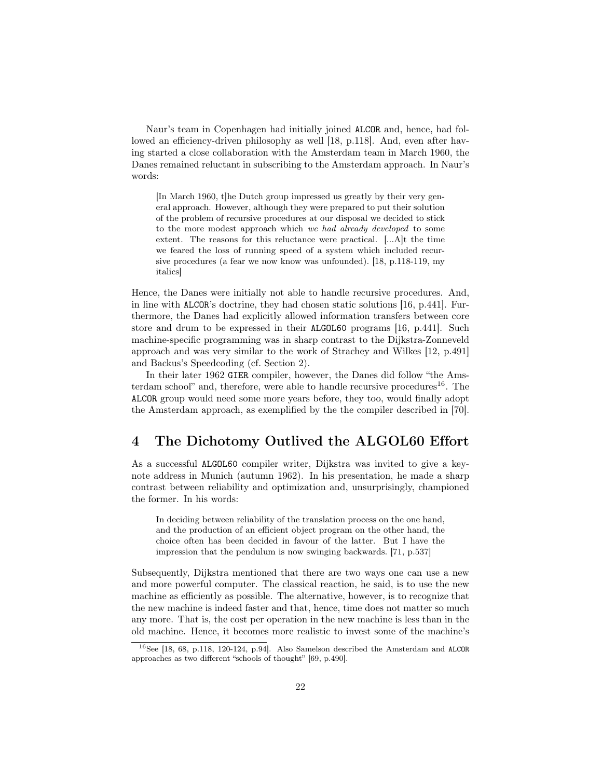Naur's team in Copenhagen had initially joined ALCOR and, hence, had followed an efficiency-driven philosophy as well [18, p.118]. And, even after having started a close collaboration with the Amsterdam team in March 1960, the Danes remained reluctant in subscribing to the Amsterdam approach. In Naur's words:

[In March 1960, t]he Dutch group impressed us greatly by their very general approach. However, although they were prepared to put their solution of the problem of recursive procedures at our disposal we decided to stick to the more modest approach which we had already developed to some extent. The reasons for this reluctance were practical. [...A]t the time we feared the loss of running speed of a system which included recursive procedures (a fear we now know was unfounded). [18, p.118-119, my italics]

Hence, the Danes were initially not able to handle recursive procedures. And, in line with ALCOR's doctrine, they had chosen static solutions [16, p.441]. Furthermore, the Danes had explicitly allowed information transfers between core store and drum to be expressed in their ALGOL60 programs [16, p.441]. Such machine-specific programming was in sharp contrast to the Dijkstra-Zonneveld approach and was very similar to the work of Strachey and Wilkes [12, p.491] and Backus's Speedcoding (cf. Section 2).

In their later 1962 GIER compiler, however, the Danes did follow "the Amsterdam school" and, therefore, were able to handle recursive procedures<sup>16</sup>. The ALCOR group would need some more years before, they too, would finally adopt the Amsterdam approach, as exemplified by the the compiler described in [70].

# 4 The Dichotomy Outlived the ALGOL60 Effort

As a successful ALGOL60 compiler writer, Dijkstra was invited to give a keynote address in Munich (autumn 1962). In his presentation, he made a sharp contrast between reliability and optimization and, unsurprisingly, championed the former. In his words:

In deciding between reliability of the translation process on the one hand, and the production of an efficient object program on the other hand, the choice often has been decided in favour of the latter. But I have the impression that the pendulum is now swinging backwards. [71, p.537]

Subsequently, Dijkstra mentioned that there are two ways one can use a new and more powerful computer. The classical reaction, he said, is to use the new machine as efficiently as possible. The alternative, however, is to recognize that the new machine is indeed faster and that, hence, time does not matter so much any more. That is, the cost per operation in the new machine is less than in the old machine. Hence, it becomes more realistic to invest some of the machine's

 $16$ See [18, 68, p.118, 120-124, p.94]. Also Samelson described the Amsterdam and ALCOR approaches as two different "schools of thought" [69, p.490].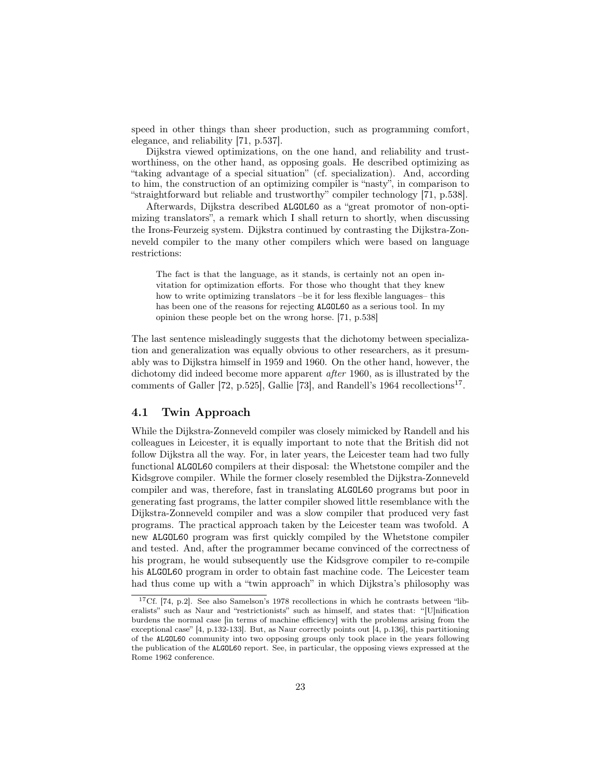speed in other things than sheer production, such as programming comfort, elegance, and reliability [71, p.537].

Dijkstra viewed optimizations, on the one hand, and reliability and trustworthiness, on the other hand, as opposing goals. He described optimizing as "taking advantage of a special situation" (cf. specialization). And, according to him, the construction of an optimizing compiler is "nasty", in comparison to "straightforward but reliable and trustworthy" compiler technology [71, p.538].

Afterwards, Dijkstra described ALGOL60 as a "great promotor of non-optimizing translators", a remark which I shall return to shortly, when discussing the Irons-Feurzeig system. Dijkstra continued by contrasting the Dijkstra-Zonneveld compiler to the many other compilers which were based on language restrictions:

The fact is that the language, as it stands, is certainly not an open invitation for optimization efforts. For those who thought that they knew how to write optimizing translators –be it for less flexible languages– this has been one of the reasons for rejecting ALGOL60 as a serious tool. In my opinion these people bet on the wrong horse. [71, p.538]

The last sentence misleadingly suggests that the dichotomy between specialization and generalization was equally obvious to other researchers, as it presumably was to Dijkstra himself in 1959 and 1960. On the other hand, however, the dichotomy did indeed become more apparent after 1960, as is illustrated by the comments of Galler [72, p.525], Gallie [73], and Randell's 1964 recollections<sup>17</sup>.

## 4.1 Twin Approach

While the Dijkstra-Zonneveld compiler was closely mimicked by Randell and his colleagues in Leicester, it is equally important to note that the British did not follow Dijkstra all the way. For, in later years, the Leicester team had two fully functional ALGOL60 compilers at their disposal: the Whetstone compiler and the Kidsgrove compiler. While the former closely resembled the Dijkstra-Zonneveld compiler and was, therefore, fast in translating ALGOL60 programs but poor in generating fast programs, the latter compiler showed little resemblance with the Dijkstra-Zonneveld compiler and was a slow compiler that produced very fast programs. The practical approach taken by the Leicester team was twofold. A new ALGOL60 program was first quickly compiled by the Whetstone compiler and tested. And, after the programmer became convinced of the correctness of his program, he would subsequently use the Kidsgrove compiler to re-compile his ALGOL60 program in order to obtain fast machine code. The Leicester team had thus come up with a "twin approach" in which Dijkstra's philosophy was

<sup>17</sup>Cf. [74, p.2]. See also Samelson's 1978 recollections in which he contrasts between "liberalists" such as Naur and "restrictionists" such as himself, and states that: "[U]nification burdens the normal case [in terms of machine efficiency] with the problems arising from the exceptional case" [4, p.132-133]. But, as Naur correctly points out [4, p.136], this partitioning of the ALGOL60 community into two opposing groups only took place in the years following the publication of the ALGOL60 report. See, in particular, the opposing views expressed at the Rome 1962 conference.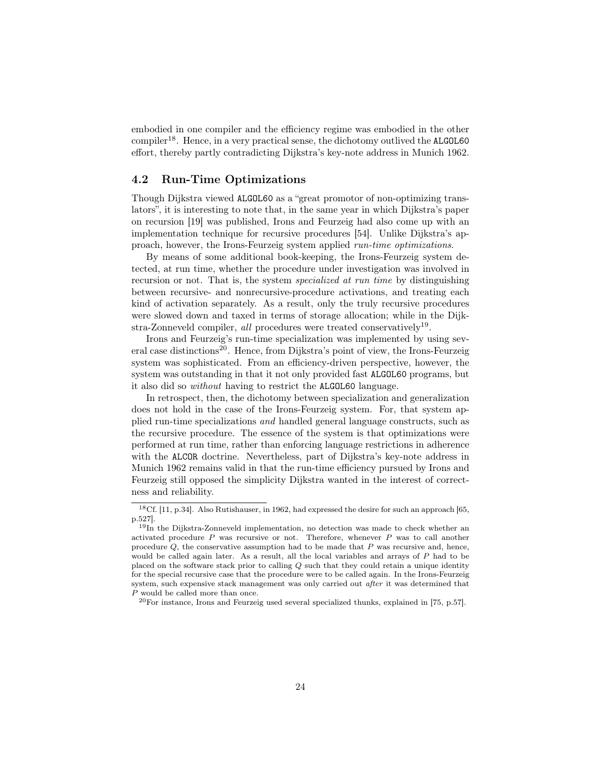embodied in one compiler and the efficiency regime was embodied in the other  $complier<sup>18</sup>$ . Hence, in a very practical sense, the dichotomy outlived the ALGOL60 effort, thereby partly contradicting Dijkstra's key-note address in Munich 1962.

# 4.2 Run-Time Optimizations

Though Dijkstra viewed ALGOL60 as a "great promotor of non-optimizing translators", it is interesting to note that, in the same year in which Dijkstra's paper on recursion [19] was published, Irons and Feurzeig had also come up with an implementation technique for recursive procedures [54]. Unlike Dijkstra's approach, however, the Irons-Feurzeig system applied run-time optimizations.

By means of some additional book-keeping, the Irons-Feurzeig system detected, at run time, whether the procedure under investigation was involved in recursion or not. That is, the system *specialized at run time* by distinguishing between recursive- and nonrecursive-procedure activations, and treating each kind of activation separately. As a result, only the truly recursive procedures were slowed down and taxed in terms of storage allocation; while in the Dijkstra-Zonneveld compiler, all procedures were treated conservatively<sup>19</sup>.

Irons and Feurzeig's run-time specialization was implemented by using several case distinctions<sup>20</sup>. Hence, from Dijkstra's point of view, the Irons-Feurzeig system was sophisticated. From an efficiency-driven perspective, however, the system was outstanding in that it not only provided fast ALGOL60 programs, but it also did so without having to restrict the ALGOL60 language.

In retrospect, then, the dichotomy between specialization and generalization does not hold in the case of the Irons-Feurzeig system. For, that system applied run-time specializations and handled general language constructs, such as the recursive procedure. The essence of the system is that optimizations were performed at run time, rather than enforcing language restrictions in adherence with the ALCOR doctrine. Nevertheless, part of Dijkstra's key-note address in Munich 1962 remains valid in that the run-time efficiency pursued by Irons and Feurzeig still opposed the simplicity Dijkstra wanted in the interest of correctness and reliability.

<sup>20</sup>For instance, Irons and Feurzeig used several specialized thunks, explained in [75, p.57].

<sup>18</sup>Cf. [11, p.34]. Also Rutishauser, in 1962, had expressed the desire for such an approach [65, p.527].

<sup>&</sup>lt;sup>19</sup>In the Dijkstra-Zonneveld implementation, no detection was made to check whether an activated procedure  $P$  was recursive or not. Therefore, whenever  $P$  was to call another procedure  $Q$ , the conservative assumption had to be made that  $P$  was recursive and, hence, would be called again later. As a result, all the local variables and arrays of P had to be placed on the software stack prior to calling  $Q$  such that they could retain a unique identity for the special recursive case that the procedure were to be called again. In the Irons-Feurzeig system, such expensive stack management was only carried out after it was determined that P would be called more than once.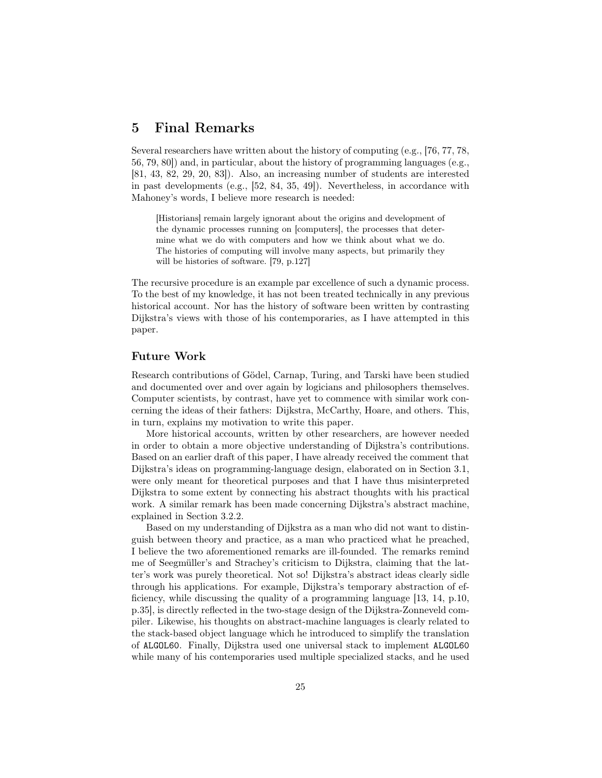# 5 Final Remarks

Several researchers have written about the history of computing (e.g., [76, 77, 78, 56, 79, 80]) and, in particular, about the history of programming languages (e.g., [81, 43, 82, 29, 20, 83]). Also, an increasing number of students are interested in past developments (e.g., [52, 84, 35, 49]). Nevertheless, in accordance with Mahoney's words, I believe more research is needed:

[Historians] remain largely ignorant about the origins and development of the dynamic processes running on [computers], the processes that determine what we do with computers and how we think about what we do. The histories of computing will involve many aspects, but primarily they will be histories of software. [79, p.127]

The recursive procedure is an example par excellence of such a dynamic process. To the best of my knowledge, it has not been treated technically in any previous historical account. Nor has the history of software been written by contrasting Dijkstra's views with those of his contemporaries, as I have attempted in this paper.

## Future Work

Research contributions of Gödel, Carnap, Turing, and Tarski have been studied and documented over and over again by logicians and philosophers themselves. Computer scientists, by contrast, have yet to commence with similar work concerning the ideas of their fathers: Dijkstra, McCarthy, Hoare, and others. This, in turn, explains my motivation to write this paper.

More historical accounts, written by other researchers, are however needed in order to obtain a more objective understanding of Dijkstra's contributions. Based on an earlier draft of this paper, I have already received the comment that Dijkstra's ideas on programming-language design, elaborated on in Section 3.1, were only meant for theoretical purposes and that I have thus misinterpreted Dijkstra to some extent by connecting his abstract thoughts with his practical work. A similar remark has been made concerning Dijkstra's abstract machine, explained in Section 3.2.2.

Based on my understanding of Dijkstra as a man who did not want to distinguish between theory and practice, as a man who practiced what he preached, I believe the two aforementioned remarks are ill-founded. The remarks remind me of Seegmüller's and Strachey's criticism to Dijkstra, claiming that the latter's work was purely theoretical. Not so! Dijkstra's abstract ideas clearly sidle through his applications. For example, Dijkstra's temporary abstraction of efficiency, while discussing the quality of a programming language [13, 14, p.10, p.35], is directly reflected in the two-stage design of the Dijkstra-Zonneveld compiler. Likewise, his thoughts on abstract-machine languages is clearly related to the stack-based object language which he introduced to simplify the translation of ALGOL60. Finally, Dijkstra used one universal stack to implement ALGOL60 while many of his contemporaries used multiple specialized stacks, and he used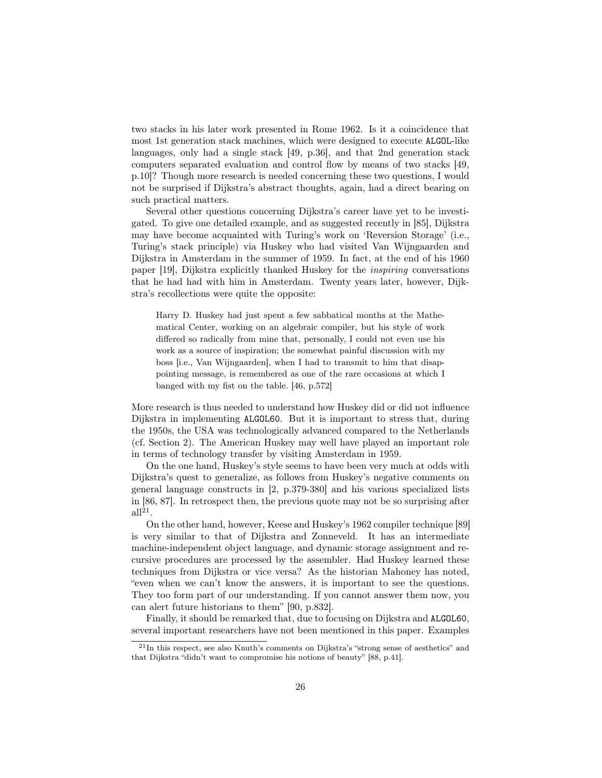two stacks in his later work presented in Rome 1962. Is it a coincidence that most 1st generation stack machines, which were designed to execute ALGOL-like languages, only had a single stack [49, p.36], and that 2nd generation stack computers separated evaluation and control flow by means of two stacks [49, p.10]? Though more research is needed concerning these two questions, I would not be surprised if Dijkstra's abstract thoughts, again, had a direct bearing on such practical matters.

Several other questions concerning Dijkstra's career have yet to be investigated. To give one detailed example, and as suggested recently in [85], Dijkstra may have become acquainted with Turing's work on 'Reversion Storage' (i.e., Turing's stack principle) via Huskey who had visited Van Wijngaarden and Dijkstra in Amsterdam in the summer of 1959. In fact, at the end of his 1960 paper [19], Dijkstra explicitly thanked Huskey for the inspiring conversations that he had had with him in Amsterdam. Twenty years later, however, Dijkstra's recollections were quite the opposite:

Harry D. Huskey had just spent a few sabbatical months at the Mathematical Center, working on an algebraic compiler, but his style of work differed so radically from mine that, personally, I could not even use his work as a source of inspiration; the somewhat painful discussion with my boss [i.e., Van Wijngaarden], when I had to transmit to him that disappointing message, is remembered as one of the rare occasions at which I banged with my fist on the table. [46, p.572]

More research is thus needed to understand how Huskey did or did not influence Dijkstra in implementing ALGOL60. But it is important to stress that, during the 1950s, the USA was technologically advanced compared to the Netherlands (cf. Section 2). The American Huskey may well have played an important role in terms of technology transfer by visiting Amsterdam in 1959.

On the one hand, Huskey's style seems to have been very much at odds with Dijkstra's quest to generalize, as follows from Huskey's negative comments on general language constructs in [2, p.379-380] and his various specialized lists in [86, 87]. In retrospect then, the previous quote may not be so surprising after  $all<sup>21</sup>$ .

On the other hand, however, Keese and Huskey's 1962 compiler technique [89] is very similar to that of Dijkstra and Zonneveld. It has an intermediate machine-independent object language, and dynamic storage assignment and recursive procedures are processed by the assembler. Had Huskey learned these techniques from Dijkstra or vice versa? As the historian Mahoney has noted, "even when we can't know the answers, it is important to see the questions. They too form part of our understanding. If you cannot answer them now, you can alert future historians to them" [90, p.832].

Finally, it should be remarked that, due to focusing on Dijkstra and ALGOL60, several important researchers have not been mentioned in this paper. Examples

<sup>21</sup>In this respect, see also Knuth's comments on Dijkstra's "strong sense of aesthetics" and that Dijkstra "didn't want to compromise his notions of beauty" [88, p.41].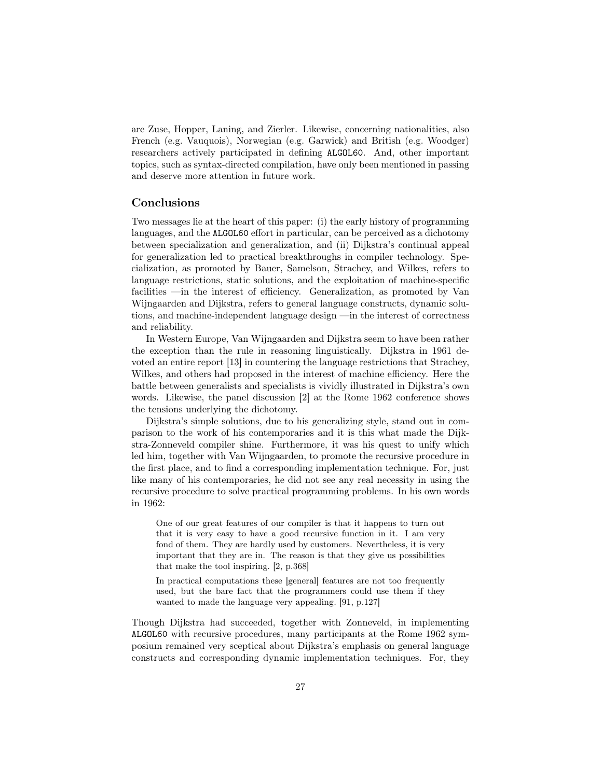are Zuse, Hopper, Laning, and Zierler. Likewise, concerning nationalities, also French (e.g. Vauquois), Norwegian (e.g. Garwick) and British (e.g. Woodger) researchers actively participated in defining ALGOL60. And, other important topics, such as syntax-directed compilation, have only been mentioned in passing and deserve more attention in future work.

## Conclusions

Two messages lie at the heart of this paper: (i) the early history of programming languages, and the ALGOL60 effort in particular, can be perceived as a dichotomy between specialization and generalization, and (ii) Dijkstra's continual appeal for generalization led to practical breakthroughs in compiler technology. Specialization, as promoted by Bauer, Samelson, Strachey, and Wilkes, refers to language restrictions, static solutions, and the exploitation of machine-specific facilities —in the interest of efficiency. Generalization, as promoted by Van Wijngaarden and Dijkstra, refers to general language constructs, dynamic solutions, and machine-independent language design —in the interest of correctness and reliability.

In Western Europe, Van Wijngaarden and Dijkstra seem to have been rather the exception than the rule in reasoning linguistically. Dijkstra in 1961 devoted an entire report [13] in countering the language restrictions that Strachey, Wilkes, and others had proposed in the interest of machine efficiency. Here the battle between generalists and specialists is vividly illustrated in Dijkstra's own words. Likewise, the panel discussion [2] at the Rome 1962 conference shows the tensions underlying the dichotomy.

Dijkstra's simple solutions, due to his generalizing style, stand out in comparison to the work of his contemporaries and it is this what made the Dijkstra-Zonneveld compiler shine. Furthermore, it was his quest to unify which led him, together with Van Wijngaarden, to promote the recursive procedure in the first place, and to find a corresponding implementation technique. For, just like many of his contemporaries, he did not see any real necessity in using the recursive procedure to solve practical programming problems. In his own words in 1962:

One of our great features of our compiler is that it happens to turn out that it is very easy to have a good recursive function in it. I am very fond of them. They are hardly used by customers. Nevertheless, it is very important that they are in. The reason is that they give us possibilities that make the tool inspiring. [2, p.368]

In practical computations these [general] features are not too frequently used, but the bare fact that the programmers could use them if they wanted to made the language very appealing. [91, p.127]

Though Dijkstra had succeeded, together with Zonneveld, in implementing ALGOL60 with recursive procedures, many participants at the Rome 1962 symposium remained very sceptical about Dijkstra's emphasis on general language constructs and corresponding dynamic implementation techniques. For, they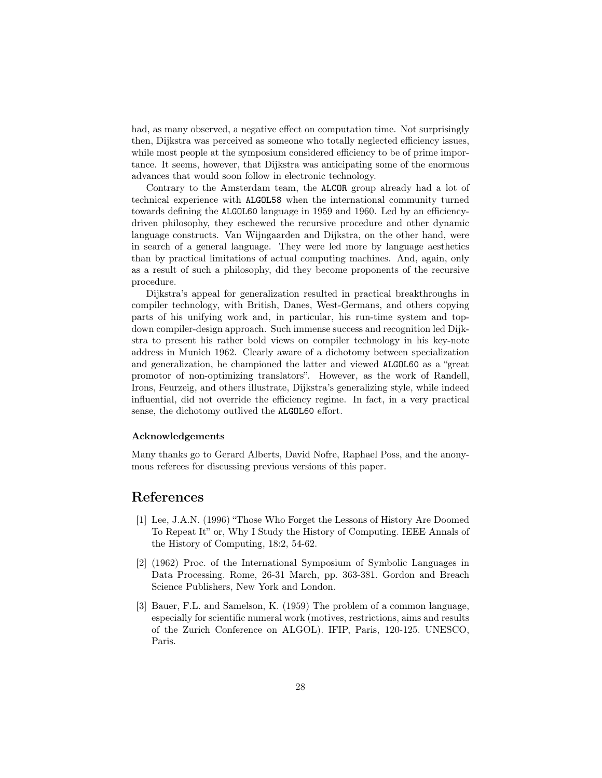had, as many observed, a negative effect on computation time. Not surprisingly then, Dijkstra was perceived as someone who totally neglected efficiency issues, while most people at the symposium considered efficiency to be of prime importance. It seems, however, that Dijkstra was anticipating some of the enormous advances that would soon follow in electronic technology.

Contrary to the Amsterdam team, the ALCOR group already had a lot of technical experience with ALGOL58 when the international community turned towards defining the ALGOL60 language in 1959 and 1960. Led by an efficiencydriven philosophy, they eschewed the recursive procedure and other dynamic language constructs. Van Wijngaarden and Dijkstra, on the other hand, were in search of a general language. They were led more by language aesthetics than by practical limitations of actual computing machines. And, again, only as a result of such a philosophy, did they become proponents of the recursive procedure.

Dijkstra's appeal for generalization resulted in practical breakthroughs in compiler technology, with British, Danes, West-Germans, and others copying parts of his unifying work and, in particular, his run-time system and topdown compiler-design approach. Such immense success and recognition led Dijkstra to present his rather bold views on compiler technology in his key-note address in Munich 1962. Clearly aware of a dichotomy between specialization and generalization, he championed the latter and viewed ALGOL60 as a "great promotor of non-optimizing translators". However, as the work of Randell, Irons, Feurzeig, and others illustrate, Dijkstra's generalizing style, while indeed influential, did not override the efficiency regime. In fact, in a very practical sense, the dichotomy outlived the ALGOL60 effort.

#### Acknowledgements

Many thanks go to Gerard Alberts, David Nofre, Raphael Poss, and the anonymous referees for discussing previous versions of this paper.

# References

- [1] Lee, J.A.N. (1996) "Those Who Forget the Lessons of History Are Doomed To Repeat It" or, Why I Study the History of Computing. IEEE Annals of the History of Computing, 18:2, 54-62.
- [2] (1962) Proc. of the International Symposium of Symbolic Languages in Data Processing. Rome, 26-31 March, pp. 363-381. Gordon and Breach Science Publishers, New York and London.
- [3] Bauer, F.L. and Samelson, K. (1959) The problem of a common language, especially for scientific numeral work (motives, restrictions, aims and results of the Zurich Conference on ALGOL). IFIP, Paris, 120-125. UNESCO, Paris.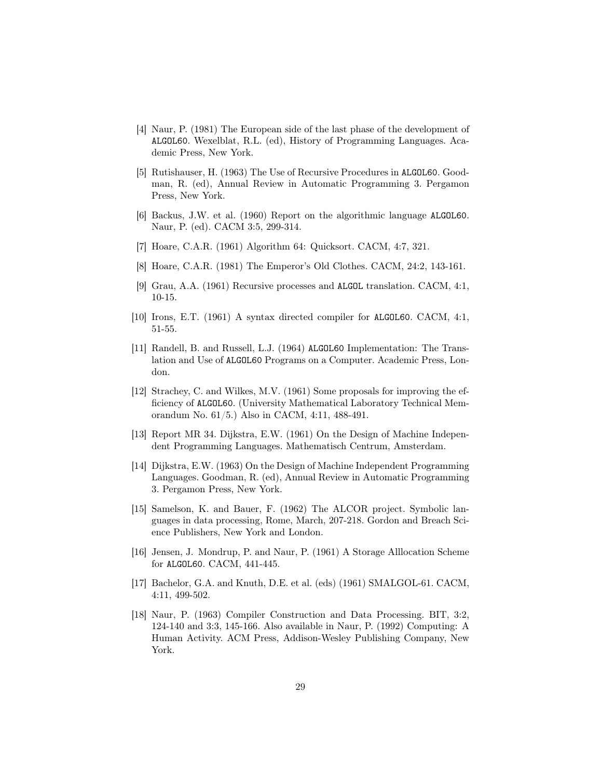- [4] Naur, P. (1981) The European side of the last phase of the development of ALGOL60. Wexelblat, R.L. (ed), History of Programming Languages. Academic Press, New York.
- [5] Rutishauser, H. (1963) The Use of Recursive Procedures in ALGOL60. Goodman, R. (ed), Annual Review in Automatic Programming 3. Pergamon Press, New York.
- [6] Backus, J.W. et al. (1960) Report on the algorithmic language ALGOL60. Naur, P. (ed). CACM 3:5, 299-314.
- [7] Hoare, C.A.R. (1961) Algorithm 64: Quicksort. CACM, 4:7, 321.
- [8] Hoare, C.A.R. (1981) The Emperor's Old Clothes. CACM, 24:2, 143-161.
- [9] Grau, A.A. (1961) Recursive processes and ALGOL translation. CACM, 4:1, 10-15.
- [10] Irons, E.T. (1961) A syntax directed compiler for ALGOL60. CACM, 4:1, 51-55.
- [11] Randell, B. and Russell, L.J. (1964) ALGOL60 Implementation: The Translation and Use of ALGOL60 Programs on a Computer. Academic Press, London.
- [12] Strachey, C. and Wilkes, M.V. (1961) Some proposals for improving the efficiency of ALGOL60. (University Mathematical Laboratory Technical Memorandum No. 61/5.) Also in CACM, 4:11, 488-491.
- [13] Report MR 34. Dijkstra, E.W. (1961) On the Design of Machine Independent Programming Languages. Mathematisch Centrum, Amsterdam.
- [14] Dijkstra, E.W. (1963) On the Design of Machine Independent Programming Languages. Goodman, R. (ed), Annual Review in Automatic Programming 3. Pergamon Press, New York.
- [15] Samelson, K. and Bauer, F. (1962) The ALCOR project. Symbolic languages in data processing, Rome, March, 207-218. Gordon and Breach Science Publishers, New York and London.
- [16] Jensen, J. Mondrup, P. and Naur, P. (1961) A Storage Alllocation Scheme for ALGOL60. CACM, 441-445.
- [17] Bachelor, G.A. and Knuth, D.E. et al. (eds) (1961) SMALGOL-61. CACM, 4:11, 499-502.
- [18] Naur, P. (1963) Compiler Construction and Data Processing. BIT, 3:2, 124-140 and 3:3, 145-166. Also available in Naur, P. (1992) Computing: A Human Activity. ACM Press, Addison-Wesley Publishing Company, New York.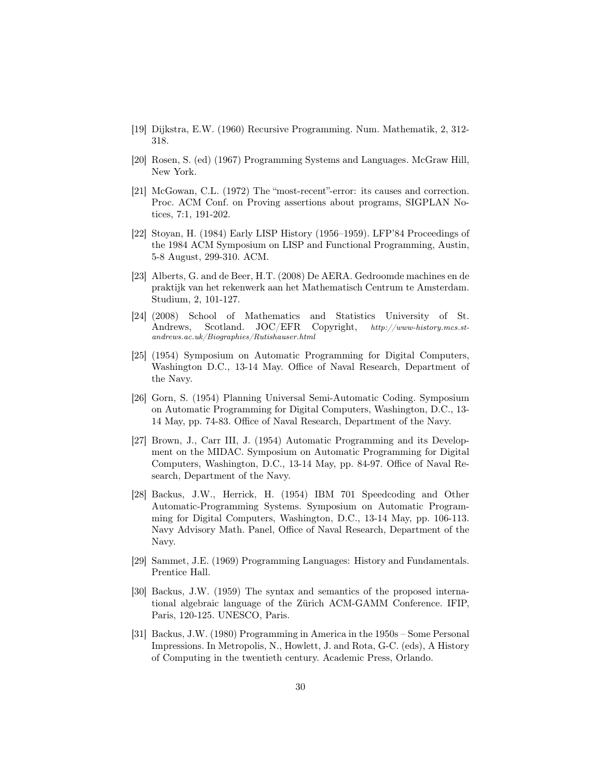- [19] Dijkstra, E.W. (1960) Recursive Programming. Num. Mathematik, 2, 312- 318.
- [20] Rosen, S. (ed) (1967) Programming Systems and Languages. McGraw Hill, New York.
- [21] McGowan, C.L. (1972) The "most-recent"-error: its causes and correction. Proc. ACM Conf. on Proving assertions about programs, SIGPLAN Notices, 7:1, 191-202.
- [22] Stoyan, H. (1984) Early LISP History (1956–1959). LFP'84 Proceedings of the 1984 ACM Symposium on LISP and Functional Programming, Austin, 5-8 August, 299-310. ACM.
- [23] Alberts, G. and de Beer, H.T. (2008) De AERA. Gedroomde machines en de praktijk van het rekenwerk aan het Mathematisch Centrum te Amsterdam. Studium, 2, 101-127.
- [24] (2008) School of Mathematics and Statistics University of St. Andrews, Scotland. JOC/EFR Copyright,  $http://www-history.mcs.st$ andrews.ac.uk/Biographies/Rutishauser.html
- [25] (1954) Symposium on Automatic Programming for Digital Computers, Washington D.C., 13-14 May. Office of Naval Research, Department of the Navy.
- [26] Gorn, S. (1954) Planning Universal Semi-Automatic Coding. Symposium on Automatic Programming for Digital Computers, Washington, D.C., 13- 14 May, pp. 74-83. Office of Naval Research, Department of the Navy.
- [27] Brown, J., Carr III, J. (1954) Automatic Programming and its Development on the MIDAC. Symposium on Automatic Programming for Digital Computers, Washington, D.C., 13-14 May, pp. 84-97. Office of Naval Research, Department of the Navy.
- [28] Backus, J.W., Herrick, H. (1954) IBM 701 Speedcoding and Other Automatic-Programming Systems. Symposium on Automatic Programming for Digital Computers, Washington, D.C., 13-14 May, pp. 106-113. Navy Advisory Math. Panel, Office of Naval Research, Department of the Navy.
- [29] Sammet, J.E. (1969) Programming Languages: History and Fundamentals. Prentice Hall.
- [30] Backus, J.W. (1959) The syntax and semantics of the proposed international algebraic language of the Zürich ACM-GAMM Conference. IFIP, Paris, 120-125. UNESCO, Paris.
- [31] Backus, J.W. (1980) Programming in America in the 1950s Some Personal Impressions. In Metropolis, N., Howlett, J. and Rota, G-C. (eds), A History of Computing in the twentieth century. Academic Press, Orlando.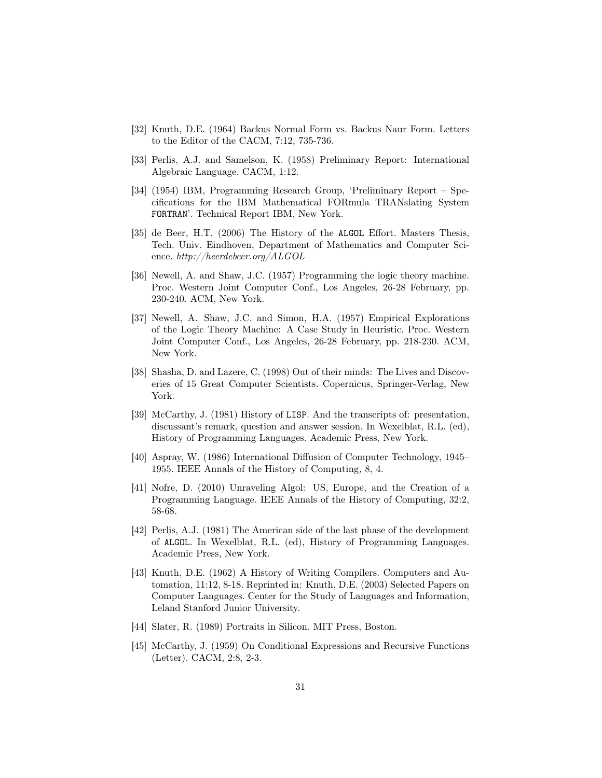- [32] Knuth, D.E. (1964) Backus Normal Form vs. Backus Naur Form. Letters to the Editor of the CACM, 7:12, 735-736.
- [33] Perlis, A.J. and Samelson, K. (1958) Preliminary Report: International Algebraic Language. CACM, 1:12.
- [34] (1954) IBM, Programming Research Group, 'Preliminary Report Specifications for the IBM Mathematical FORmula TRANslating System FORTRAN'. Technical Report IBM, New York.
- [35] de Beer, H.T. (2006) The History of the ALGOL Effort. Masters Thesis, Tech. Univ. Eindhoven, Department of Mathematics and Computer Science. http://heerdebeer.org/ALGOL
- [36] Newell, A. and Shaw, J.C. (1957) Programming the logic theory machine. Proc. Western Joint Computer Conf., Los Angeles, 26-28 February, pp. 230-240. ACM, New York.
- [37] Newell, A. Shaw, J.C. and Simon, H.A. (1957) Empirical Explorations of the Logic Theory Machine: A Case Study in Heuristic. Proc. Western Joint Computer Conf., Los Angeles, 26-28 February, pp. 218-230. ACM, New York.
- [38] Shasha, D. and Lazere, C. (1998) Out of their minds: The Lives and Discoveries of 15 Great Computer Scientists. Copernicus, Springer-Verlag, New York.
- [39] McCarthy, J. (1981) History of LISP. And the transcripts of: presentation, discussant's remark, question and answer session. In Wexelblat, R.L. (ed), History of Programming Languages. Academic Press, New York.
- [40] Aspray, W. (1986) International Diffusion of Computer Technology, 1945– 1955. IEEE Annals of the History of Computing, 8, 4.
- [41] Nofre, D. (2010) Unraveling Algol: US, Europe, and the Creation of a Programming Language. IEEE Annals of the History of Computing, 32:2, 58-68.
- [42] Perlis, A.J. (1981) The American side of the last phase of the development of ALGOL. In Wexelblat, R.L. (ed), History of Programming Languages. Academic Press, New York.
- [43] Knuth, D.E. (1962) A History of Writing Compilers. Computers and Automation, 11:12, 8-18. Reprinted in: Knuth, D.E. (2003) Selected Papers on Computer Languages. Center for the Study of Languages and Information, Leland Stanford Junior University.
- [44] Slater, R. (1989) Portraits in Silicon. MIT Press, Boston.
- [45] McCarthy, J. (1959) On Conditional Expressions and Recursive Functions (Letter). CACM, 2:8, 2-3.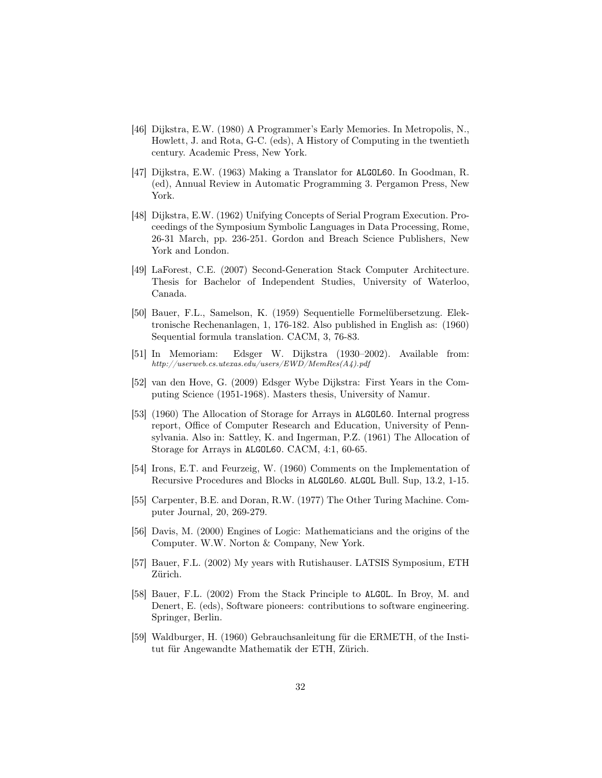- [46] Dijkstra, E.W. (1980) A Programmer's Early Memories. In Metropolis, N., Howlett, J. and Rota, G-C. (eds), A History of Computing in the twentieth century. Academic Press, New York.
- [47] Dijkstra, E.W. (1963) Making a Translator for ALGOL60. In Goodman, R. (ed), Annual Review in Automatic Programming 3. Pergamon Press, New York.
- [48] Dijkstra, E.W. (1962) Unifying Concepts of Serial Program Execution. Proceedings of the Symposium Symbolic Languages in Data Processing, Rome, 26-31 March, pp. 236-251. Gordon and Breach Science Publishers, New York and London.
- [49] LaForest, C.E. (2007) Second-Generation Stack Computer Architecture. Thesis for Bachelor of Independent Studies, University of Waterloo, Canada.
- [50] Bauer, F.L., Samelson, K. (1959) Sequentielle Formelübersetzung. Elektronische Rechenanlagen, 1, 176-182. Also published in English as: (1960) Sequential formula translation. CACM, 3, 76-83.
- [51] In Memoriam: Edsger W. Dijkstra (1930–2002). Available from: http://userweb.cs.utexas.edu/users/EWD/MemRes(A4).pdf
- [52] van den Hove, G. (2009) Edsger Wybe Dijkstra: First Years in the Computing Science (1951-1968). Masters thesis, University of Namur.
- [53] (1960) The Allocation of Storage for Arrays in ALGOL60. Internal progress report, Office of Computer Research and Education, University of Pennsylvania. Also in: Sattley, K. and Ingerman, P.Z. (1961) The Allocation of Storage for Arrays in ALGOL60. CACM, 4:1, 60-65.
- [54] Irons, E.T. and Feurzeig, W. (1960) Comments on the Implementation of Recursive Procedures and Blocks in ALGOL60. ALGOL Bull. Sup, 13.2, 1-15.
- [55] Carpenter, B.E. and Doran, R.W. (1977) The Other Turing Machine. Computer Journal, 20, 269-279.
- [56] Davis, M. (2000) Engines of Logic: Mathematicians and the origins of the Computer. W.W. Norton & Company, New York.
- [57] Bauer, F.L. (2002) My years with Rutishauser. LATSIS Symposium, ETH Zürich.
- [58] Bauer, F.L. (2002) From the Stack Principle to ALGOL. In Broy, M. and Denert, E. (eds), Software pioneers: contributions to software engineering. Springer, Berlin.
- [59] Waldburger, H. (1960) Gebrauchsanleitung für die ERMETH, of the Institut für Angewandte Mathematik der ETH, Zürich.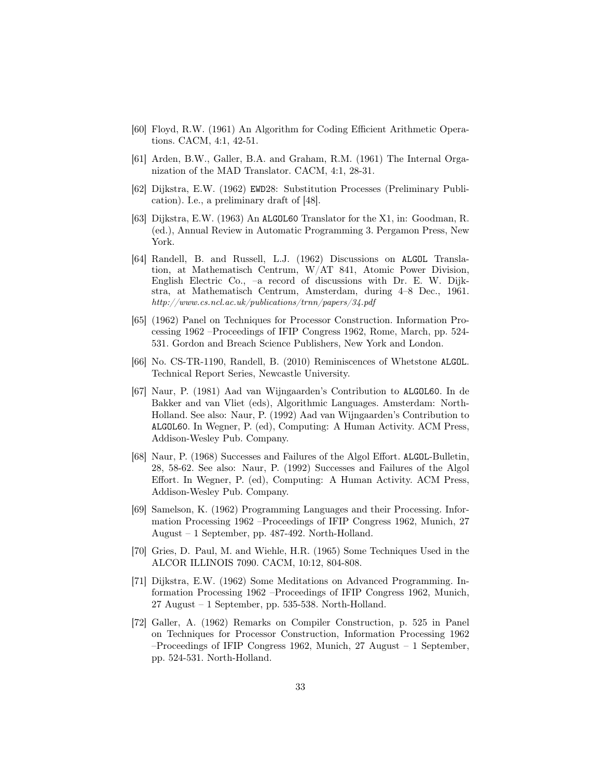- [60] Floyd, R.W. (1961) An Algorithm for Coding Efficient Arithmetic Operations. CACM, 4:1, 42-51.
- [61] Arden, B.W., Galler, B.A. and Graham, R.M. (1961) The Internal Organization of the MAD Translator. CACM, 4:1, 28-31.
- [62] Dijkstra, E.W. (1962) EWD28: Substitution Processes (Preliminary Publication). I.e., a preliminary draft of [48].
- [63] Dijkstra, E.W. (1963) An ALGOL60 Translator for the X1, in: Goodman, R. (ed.), Annual Review in Automatic Programming 3. Pergamon Press, New York.
- [64] Randell, B. and Russell, L.J. (1962) Discussions on ALGOL Translation, at Mathematisch Centrum, W/AT 841, Atomic Power Division, English Electric Co., –a record of discussions with Dr. E. W. Dijkstra, at Mathematisch Centrum, Amsterdam, during 4–8 Dec., 1961. http://www.cs.ncl.ac.uk/publications/trnn/papers/34.pdf
- [65] (1962) Panel on Techniques for Processor Construction. Information Processing 1962 –Proceedings of IFIP Congress 1962, Rome, March, pp. 524- 531. Gordon and Breach Science Publishers, New York and London.
- [66] No. CS-TR-1190, Randell, B. (2010) Reminiscences of Whetstone ALGOL. Technical Report Series, Newcastle University.
- [67] Naur, P. (1981) Aad van Wijngaarden's Contribution to ALGOL60. In de Bakker and van Vliet (eds), Algorithmic Languages. Amsterdam: North-Holland. See also: Naur, P. (1992) Aad van Wijngaarden's Contribution to ALGOL60. In Wegner, P. (ed), Computing: A Human Activity. ACM Press, Addison-Wesley Pub. Company.
- [68] Naur, P. (1968) Successes and Failures of the Algol Effort. ALGOL-Bulletin, 28, 58-62. See also: Naur, P. (1992) Successes and Failures of the Algol Effort. In Wegner, P. (ed), Computing: A Human Activity. ACM Press, Addison-Wesley Pub. Company.
- [69] Samelson, K. (1962) Programming Languages and their Processing. Information Processing 1962 –Proceedings of IFIP Congress 1962, Munich, 27 August – 1 September, pp. 487-492. North-Holland.
- [70] Gries, D. Paul, M. and Wiehle, H.R. (1965) Some Techniques Used in the ALCOR ILLINOIS 7090. CACM, 10:12, 804-808.
- [71] Dijkstra, E.W. (1962) Some Meditations on Advanced Programming. Information Processing 1962 –Proceedings of IFIP Congress 1962, Munich, 27 August – 1 September, pp. 535-538. North-Holland.
- [72] Galler, A. (1962) Remarks on Compiler Construction, p. 525 in Panel on Techniques for Processor Construction, Information Processing 1962 –Proceedings of IFIP Congress 1962, Munich, 27 August – 1 September, pp. 524-531. North-Holland.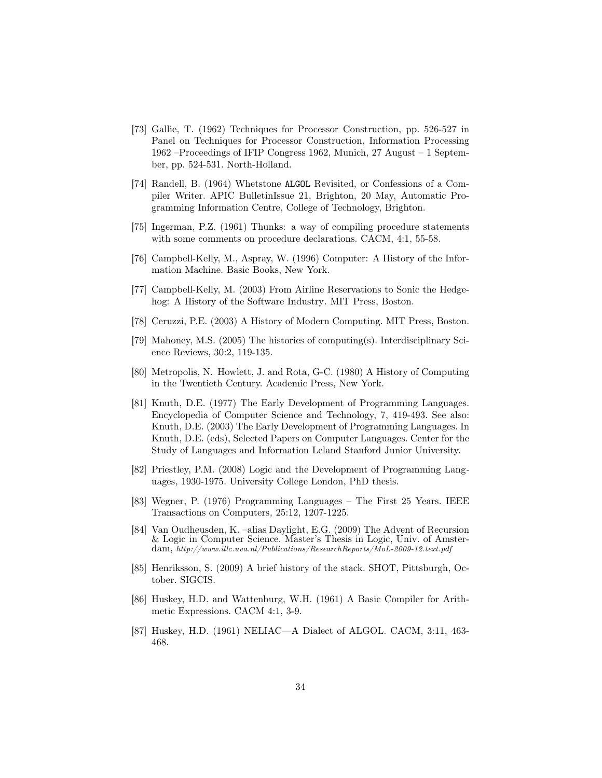- [73] Gallie, T. (1962) Techniques for Processor Construction, pp. 526-527 in Panel on Techniques for Processor Construction, Information Processing 1962 –Proceedings of IFIP Congress 1962, Munich, 27 August – 1 September, pp. 524-531. North-Holland.
- [74] Randell, B. (1964) Whetstone ALGOL Revisited, or Confessions of a Compiler Writer. APIC BulletinIssue 21, Brighton, 20 May, Automatic Programming Information Centre, College of Technology, Brighton.
- [75] Ingerman, P.Z. (1961) Thunks: a way of compiling procedure statements with some comments on procedure declarations. CACM, 4:1, 55-58.
- [76] Campbell-Kelly, M., Aspray, W. (1996) Computer: A History of the Information Machine. Basic Books, New York.
- [77] Campbell-Kelly, M. (2003) From Airline Reservations to Sonic the Hedgehog: A History of the Software Industry. MIT Press, Boston.
- [78] Ceruzzi, P.E. (2003) A History of Modern Computing. MIT Press, Boston.
- [79] Mahoney, M.S. (2005) The histories of computing(s). Interdisciplinary Science Reviews, 30:2, 119-135.
- [80] Metropolis, N. Howlett, J. and Rota, G-C. (1980) A History of Computing in the Twentieth Century. Academic Press, New York.
- [81] Knuth, D.E. (1977) The Early Development of Programming Languages. Encyclopedia of Computer Science and Technology, 7, 419-493. See also: Knuth, D.E. (2003) The Early Development of Programming Languages. In Knuth, D.E. (eds), Selected Papers on Computer Languages. Center for the Study of Languages and Information Leland Stanford Junior University.
- [82] Priestley, P.M. (2008) Logic and the Development of Programming Languages, 1930-1975. University College London, PhD thesis.
- [83] Wegner, P. (1976) Programming Languages The First 25 Years. IEEE Transactions on Computers, 25:12, 1207-1225.
- [84] Van Oudheusden, K. –alias Daylight, E.G. (2009) The Advent of Recursion & Logic in Computer Science. Master's Thesis in Logic, Univ. of Amsterdam, http://www.illc.uva.nl/Publications/ResearchReports/MoL-2009-12.text.pdf
- [85] Henriksson, S. (2009) A brief history of the stack. SHOT, Pittsburgh, October. SIGCIS.
- [86] Huskey, H.D. and Wattenburg, W.H. (1961) A Basic Compiler for Arithmetic Expressions. CACM 4:1, 3-9.
- [87] Huskey, H.D. (1961) NELIAC—A Dialect of ALGOL. CACM, 3:11, 463- 468.